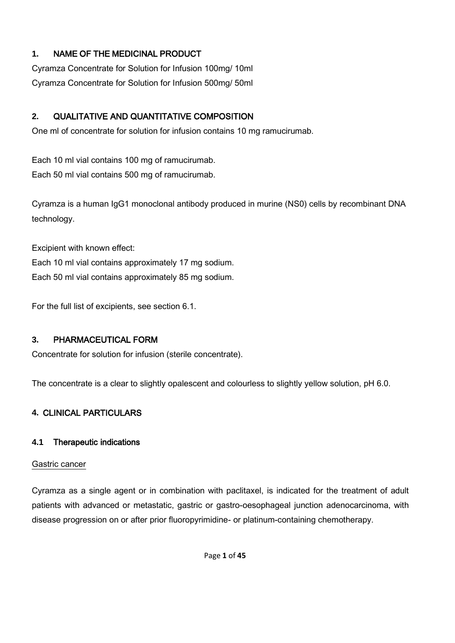## **1.** NAME OF THE MEDICINAL PRODUCT

Cyramza Concentrate for Solution for Infusion 100mg/ 10ml Cyramza Concentrate for Solution for Infusion 500mg/ 50ml

## **2.** QUALITATIVE AND QUANTITATIVE COMPOSITION

One ml of concentrate for solution for infusion contains 10 mg ramucirumab.

Each 10 ml vial contains 100 mg of ramucirumab. Each 50 ml vial contains 500 mg of ramucirumab.

Cyramza is a human IgG1 monoclonal antibody produced in murine (NS0) cells by recombinant DNA technology.

Excipient with known effect:

Each 10 ml vial contains approximately 17 mg sodium.

Each 50 ml vial contains approximately 85 mg sodium.

For the full list of excipients, see section 6.1.

## **3.** PHARMACEUTICAL FORM

Concentrate for solution for infusion (sterile concentrate).

The concentrate is a clear to slightly opalescent and colourless to slightly yellow solution, pH 6.0.

## **4.** CLINICAL PARTICULARS

## **4.1** Therapeutic indications

## Gastric cancer

Cyramza as a single agent or in combination with paclitaxel, is indicated for the treatment of adult patients with advanced or metastatic, gastric or gastro-oesophageal junction adenocarcinoma, with disease progression on or after prior fluoropyrimidine- or platinum-containing chemotherapy.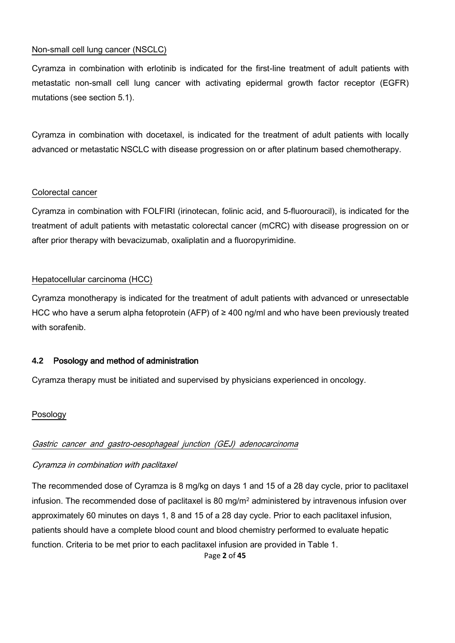## Non-small cell lung cancer (NSCLC)

Cyramza in combination with erlotinib is indicated for the first-line treatment of adult patients with metastatic non-small cell lung cancer with activating epidermal growth factor receptor (EGFR) mutations (see section 5.1).

Cyramza in combination with docetaxel, is indicated for the treatment of adult patients with locally advanced or metastatic NSCLC with disease progression on or after platinum based chemotherapy.

## Colorectal cancer

Cyramza in combination with FOLFIRI (irinotecan, folinic acid, and 5-fluorouracil), is indicated for the treatment of adult patients with metastatic colorectal cancer (mCRC) with disease progression on or after prior therapy with bevacizumab, oxaliplatin and a fluoropyrimidine.

## Hepatocellular carcinoma (HCC)

Cyramza monotherapy is indicated for the treatment of adult patients with advanced or unresectable HCC who have a serum alpha fetoprotein (AFP) of ≥ 400 ng/ml and who have been previously treated with sorafenib.

## **4.2** Posology and method of administration

Cyramza therapy must be initiated and supervised by physicians experienced in oncology.

## Posology

## Gastric cancer and gastro-oesophageal junction (GEJ) adenocarcinoma

## Cyramza in combination with paclitaxel

The recommended dose of Cyramza is 8 mg/kg on days 1 and 15 of a 28 day cycle, prior to paclitaxel infusion. The recommended dose of paclitaxel is 80 mg/m<sup>2</sup> administered by intravenous infusion over approximately 60 minutes on days 1, 8 and 15 of a 28 day cycle. Prior to each paclitaxel infusion, patients should have a complete blood count and blood chemistry performed to evaluate hepatic function. Criteria to be met prior to each paclitaxel infusion are provided in Table 1.

Page **2** of **45**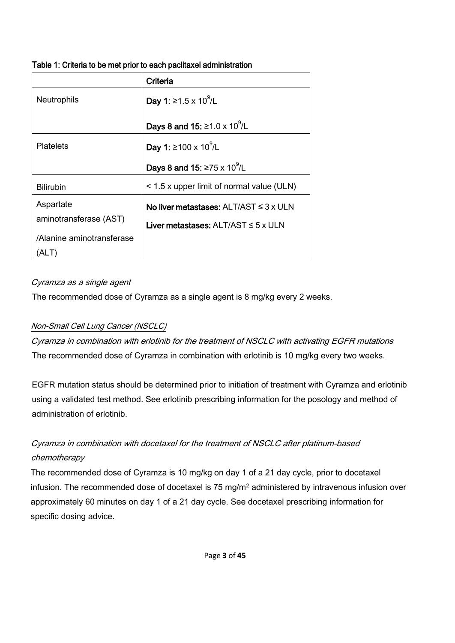| Table 1: Criteria to be met prior to each paclitaxel administration |  |  |  |
|---------------------------------------------------------------------|--|--|--|
|---------------------------------------------------------------------|--|--|--|

|                           | Criteria                                         |
|---------------------------|--------------------------------------------------|
| <b>Neutrophils</b>        | <b>Day 1:</b> ≥1.5 x 10 <sup>9</sup> /L          |
|                           | <b>Days 8 and 15: ≥1.0 x 10<sup>9</sup>/L</b>    |
| <b>Platelets</b>          | <b>Day 1:</b> ≥100 x 10 <sup>9</sup> /L          |
|                           | <b>Days 8 and 15: ≥75 x 10<sup>9</sup>/L</b>     |
| <b>Bilirubin</b>          | < 1.5 x upper limit of normal value (ULN)        |
| Aspartate                 | No liver metastases: $ALT/AST \leq 3 \times ULN$ |
| aminotransferase (AST)    | Liver metastases: $ALT/AST \leq 5 \times ULN$    |
| /Alanine aminotransferase |                                                  |
|                           |                                                  |

## Cyramza as a single agent

The recommended dose of Cyramza as a single agent is 8 mg/kg every 2 weeks.

## Non-Small Cell Lung Cancer (NSCLC)

Cyramza in combination with erlotinib for the treatment of NSCLC with activating EGFR mutations The recommended dose of Cyramza in combination with erlotinib is 10 mg/kg every two weeks.

EGFR mutation status should be determined prior to initiation of treatment with Cyramza and erlotinib using a validated test method. See erlotinib prescribing information for the posology and method of administration of erlotinib.

# Cyramza in combination with docetaxel for the treatment of NSCLC after platinum-based chemotherapy

The recommended dose of Cyramza is 10 mg/kg on day 1 of a 21 day cycle, prior to docetaxel infusion. The recommended dose of docetaxel is 75 mg/m<sup>2</sup> administered by intravenous infusion over approximately 60 minutes on day 1 of a 21 day cycle. See docetaxel prescribing information for specific dosing advice.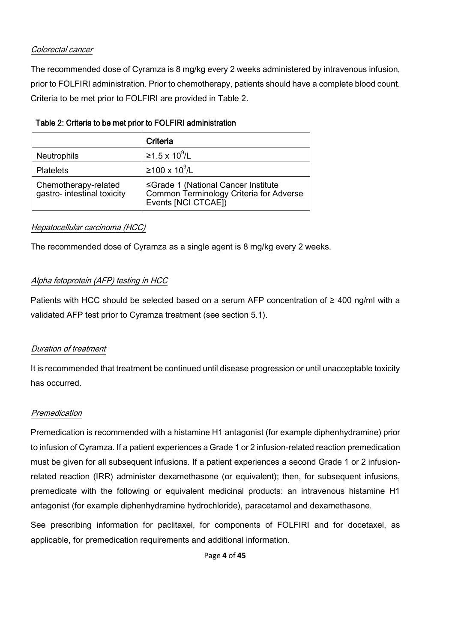## Colorectal cancer

The recommended dose of Cyramza is 8 mg/kg every 2 weeks administered by intravenous infusion, prior to FOLFIRI administration. Prior to chemotherapy, patients should have a complete blood count. Criteria to be met prior to FOLFIRI are provided in Table 2.

|                                                     | Criteria                                                                                              |
|-----------------------------------------------------|-------------------------------------------------------------------------------------------------------|
| <b>Neutrophils</b>                                  | ≥1.5 x 10 <sup>9</sup> /L                                                                             |
| <b>Platelets</b>                                    | ≥100 x 10 <sup>9</sup> /L                                                                             |
| Chemotherapy-related<br>gastro- intestinal toxicity | ≤Grade 1 (National Cancer Institute<br>Common Terminology Criteria for Adverse<br>Events [NCI CTCAE]) |

## Table 2: Criteria to be met prior to FOLFIRI administration

## Hepatocellular carcinoma (HCC)

The recommended dose of Cyramza as a single agent is 8 mg/kg every 2 weeks.

## Alpha fetoprotein (AFP) testing in HCC

Patients with HCC should be selected based on a serum AFP concentration of ≥ 400 ng/ml with a validated AFP test prior to Cyramza treatment (see section 5.1).

## Duration of treatment

It is recommended that treatment be continued until disease progression or until unacceptable toxicity has occurred.

## Premedication

Premedication is recommended with a histamine H1 antagonist (for example diphenhydramine) prior to infusion of Cyramza. If a patient experiences a Grade 1 or 2 infusion-related reaction premedication must be given for all subsequent infusions. If a patient experiences a second Grade 1 or 2 infusionrelated reaction (IRR) administer dexamethasone (or equivalent); then, for subsequent infusions, premedicate with the following or equivalent medicinal products: an intravenous histamine H1 antagonist (for example diphenhydramine hydrochloride), paracetamol and dexamethasone.

See prescribing information for paclitaxel, for components of FOLFIRI and for docetaxel, as applicable, for premedication requirements and additional information.

Page **4** of **45**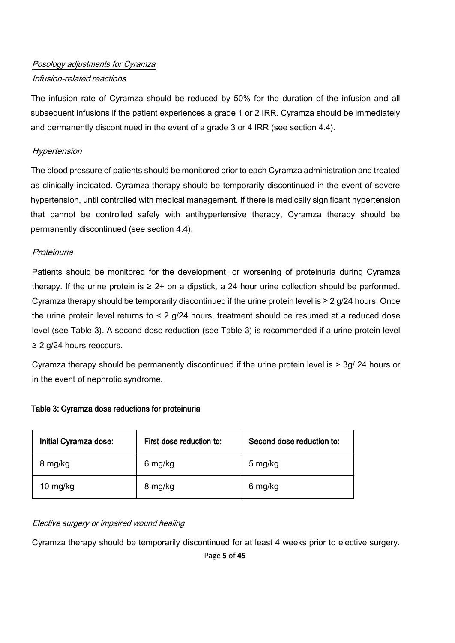# Posology adjustments for Cyramza Infusion-related reactions

The infusion rate of Cyramza should be reduced by 50% for the duration of the infusion and all subsequent infusions if the patient experiences a grade 1 or 2 IRR. Cyramza should be immediately and permanently discontinued in the event of a grade 3 or 4 IRR (see section 4.4).

## **Hypertension**

The blood pressure of patients should be monitored prior to each Cyramza administration and treated as clinically indicated. Cyramza therapy should be temporarily discontinued in the event of severe hypertension, until controlled with medical management. If there is medically significant hypertension that cannot be controlled safely with antihypertensive therapy, Cyramza therapy should be permanently discontinued (see section 4.4).

## Proteinuria

Patients should be monitored for the development, or worsening of proteinuria during Cyramza therapy. If the urine protein is  $\geq 2+$  on a dipstick, a 24 hour urine collection should be performed. Cyramza therapy should be temporarily discontinued if the urine protein level is  $\geq 2$  g/24 hours. Once the urine protein level returns to  $\leq 2$  g/24 hours, treatment should be resumed at a reduced dose level (see Table 3). A second dose reduction (see Table 3) is recommended if a urine protein level ≥ 2 g/24 hours reoccurs.

Cyramza therapy should be permanently discontinued if the urine protein level is > 3g/ 24 hours or in the event of nephrotic syndrome.

## Table 3: Cyramza dose reductions for proteinuria

| Initial Cyramza dose:<br>First dose reduction to: |         | Second dose reduction to: |
|---------------------------------------------------|---------|---------------------------|
| 8 mg/kg                                           | 6 mg/kg | 5 mg/kg                   |
| 10 mg/kg                                          | 8 mg/kg | 6 mg/kg                   |

## Elective surgery or impaired wound healing

Cyramza therapy should be temporarily discontinued for at least 4 weeks prior to elective surgery.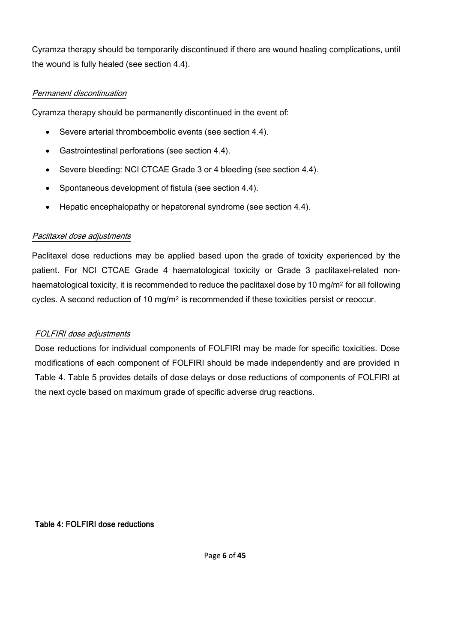Cyramza therapy should be temporarily discontinued if there are wound healing complications, until the wound is fully healed (see section 4.4).

## Permanent discontinuation

Cyramza therapy should be permanently discontinued in the event of:

- Severe arterial thromboembolic events (see section 4.4).
- Gastrointestinal perforations (see section 4.4).
- Severe bleeding: NCI CTCAE Grade 3 or 4 bleeding (see section 4.4).
- Spontaneous development of fistula (see section 4.4).
- Hepatic encephalopathy or hepatorenal syndrome (see section 4.4).

## Paclitaxel dose adjustments

Paclitaxel dose reductions may be applied based upon the grade of toxicity experienced by the patient. For NCI CTCAE Grade 4 haematological toxicity or Grade 3 paclitaxel-related nonhaematological toxicity, it is recommended to reduce the paclitaxel dose by 10 mg/m<sup>2</sup> for all following cycles. A second reduction of 10 mg/m<sup>2</sup> is recommended if these toxicities persist or reoccur.

## FOLFIRI dose adjustments

Dose reductions for individual components of FOLFIRI may be made for specific toxicities. Dose modifications of each component of FOLFIRI should be made independently and are provided in Table 4. Table 5 provides details of dose delays or dose reductions of components of FOLFIRI at the next cycle based on maximum grade of specific adverse drug reactions.

Table 4: FOLFIRI dose reductions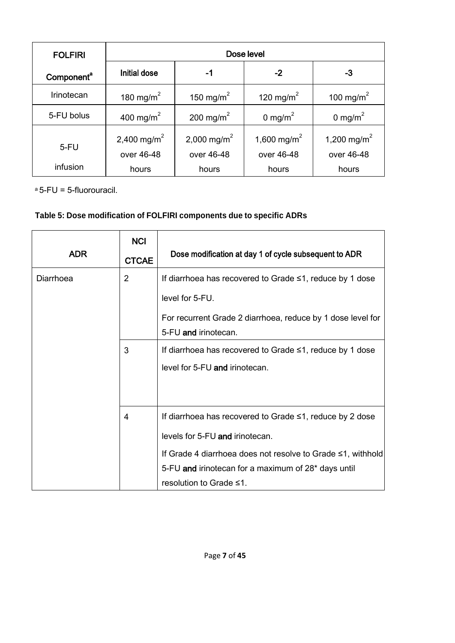| <b>FOLFIRI</b>         | Dose level                            |                                       |                                       |                                       |
|------------------------|---------------------------------------|---------------------------------------|---------------------------------------|---------------------------------------|
| Component <sup>a</sup> | Initial dose                          | -1                                    | $-2$                                  | -3                                    |
| Irinotecan             | 180 mg/m <sup>2</sup>                 | 150 mg/m <sup>2</sup>                 | 120 mg/m <sup>2</sup>                 | 100 mg/m <sup>2</sup>                 |
| 5-FU bolus             | 400 mg/m <sup>2</sup>                 | 200 mg/m <sup>2</sup>                 | 0 mg/m <sup>2</sup>                   | 0 mg/m <sup>2</sup>                   |
| $5-FU$                 | 2,400 mg/m <sup>2</sup><br>over 46-48 | 2,000 mg/m <sup>2</sup><br>over 46-48 | 1,600 mg/m <sup>2</sup><br>over 46-48 | 1,200 mg/m <sup>2</sup><br>over 46-48 |
| infusion               | hours                                 | hours                                 | hours                                 | hours                                 |

<sup>a</sup> 5-FU = 5-fluorouracil.

# **Table 5: Dose modification of FOLFIRI components due to specific ADRs**

| <b>ADR</b> | <b>NCI</b><br><b>CTCAE</b> | Dose modification at day 1 of cycle subsequent to ADR                                                                                                                                                                                        |
|------------|----------------------------|----------------------------------------------------------------------------------------------------------------------------------------------------------------------------------------------------------------------------------------------|
| Diarrhoea  | $\overline{2}$             | If diarrhoea has recovered to Grade ≤1, reduce by 1 dose<br>level for 5-FU.<br>For recurrent Grade 2 diarrhoea, reduce by 1 dose level for<br>5-FU and irinotecan.                                                                           |
|            | 3                          | If diarrhoea has recovered to Grade $\leq 1$ , reduce by 1 dose<br>level for 5-FU and irinotecan.                                                                                                                                            |
|            | 4                          | If diarrhoea has recovered to Grade ≤1, reduce by 2 dose<br>levels for 5-FU and irinotecan.<br>If Grade 4 diarrhoea does not resolve to Grade ≤1, withhold<br>5-FU and irinotecan for a maximum of 28* days until<br>resolution to Grade ≤1. |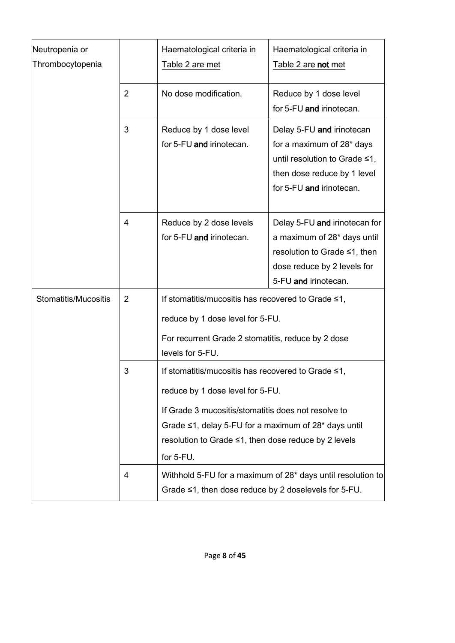| Neutropenia or<br>Thrombocytopenia |                                                                                                                                                                                                                                                                                          | Haematological criteria in<br>Haematological criteria in<br>Table 2 are met<br>Table 2 are not met                                                               |                                                                                                                                                                |
|------------------------------------|------------------------------------------------------------------------------------------------------------------------------------------------------------------------------------------------------------------------------------------------------------------------------------------|------------------------------------------------------------------------------------------------------------------------------------------------------------------|----------------------------------------------------------------------------------------------------------------------------------------------------------------|
|                                    | $\overline{2}$                                                                                                                                                                                                                                                                           | No dose modification.                                                                                                                                            | Reduce by 1 dose level<br>for 5-FU and irinotecan.                                                                                                             |
|                                    | 3                                                                                                                                                                                                                                                                                        | Reduce by 1 dose level<br>for 5-FU and irinotecan.                                                                                                               | Delay 5-FU and irinotecan<br>for a maximum of 28 <sup>*</sup> days<br>until resolution to Grade ≤1,<br>then dose reduce by 1 level<br>for 5-FU and irinotecan. |
|                                    | 4                                                                                                                                                                                                                                                                                        | Reduce by 2 dose levels<br>for 5-FU and irinotecan.                                                                                                              | Delay 5-FU and irinotecan for<br>a maximum of 28* days until<br>resolution to Grade ≤1, then<br>dose reduce by 2 levels for<br>5-FU and irinotecan.            |
| Stomatitis/Mucositis               | $\overline{2}$                                                                                                                                                                                                                                                                           | If stomatitis/mucositis has recovered to Grade ≤1,<br>reduce by 1 dose level for 5-FU.<br>For recurrent Grade 2 stomatitis, reduce by 2 dose<br>levels for 5-FU. |                                                                                                                                                                |
|                                    | 3<br>If stomatitis/mucositis has recovered to Grade ≤1,<br>reduce by 1 dose level for 5-FU.<br>If Grade 3 mucositis/stomatitis does not resolve to<br>Grade $\leq$ 1, delay 5-FU for a maximum of 28 $*$ days until<br>resolution to Grade ≤1, then dose reduce by 2 levels<br>for 5-FU. |                                                                                                                                                                  |                                                                                                                                                                |
|                                    | 4                                                                                                                                                                                                                                                                                        | Withhold 5-FU for a maximum of 28* days until resolution to<br>Grade ≤1, then dose reduce by 2 doselevels for 5-FU.                                              |                                                                                                                                                                |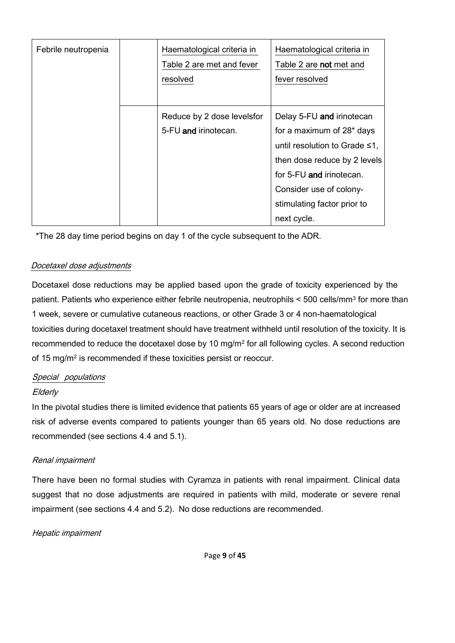| Febrile neutropenia | Haematological criteria in<br>Table 2 are met and fever<br>resolved | Haematological criteria in<br>Table 2 are not met and<br>fever resolved                                                                                                                                                                         |
|---------------------|---------------------------------------------------------------------|-------------------------------------------------------------------------------------------------------------------------------------------------------------------------------------------------------------------------------------------------|
|                     | Reduce by 2 dose levelsfor<br>5-FU and irinotecan.                  | Delay 5-FU and irinotecan<br>for a maximum of 28 <sup>*</sup> days<br>until resolution to Grade $\leq 1$ ,<br>then dose reduce by 2 levels<br>for 5-FU and irinotecan.<br>Consider use of colony-<br>stimulating factor prior to<br>next cycle. |

\*The 28 day time period begins on day 1 of the cycle subsequent to the ADR.

## Docetaxel dose adjustments

Docetaxel dose reductions may be applied based upon the grade of toxicity experienced by the patient. Patients who experience either febrile neutropenia, neutrophils < 500 cells/mm<sup>3</sup> for more than 1 week, severe or cumulative cutaneous reactions, or other Grade 3 or 4 non-haematological toxicities during docetaxel treatment should have treatment withheld until resolution of the toxicity. It is recommended to reduce the docetaxel dose by 10 mg/m<sup>2</sup> for all following cycles. A second reduction of 15 mg/m<sup>2</sup> is recommended if these toxicities persist or reoccur.

## Special populations

## **Elderly**

In the pivotal studies there is limited evidence that patients 65 years of age or older are at increased risk of adverse events compared to patients younger than 65 years old. No dose reductions are recommended (see sections 4.4 and 5.1).

## Renal impairment

There have been no formal studies with Cyramza in patients with renal impairment. Clinical data suggest that no dose adjustments are required in patients with mild, moderate or severe renal impairment (see sections 4.4 and 5.2). No dose reductions are recommended.

Hepatic impairment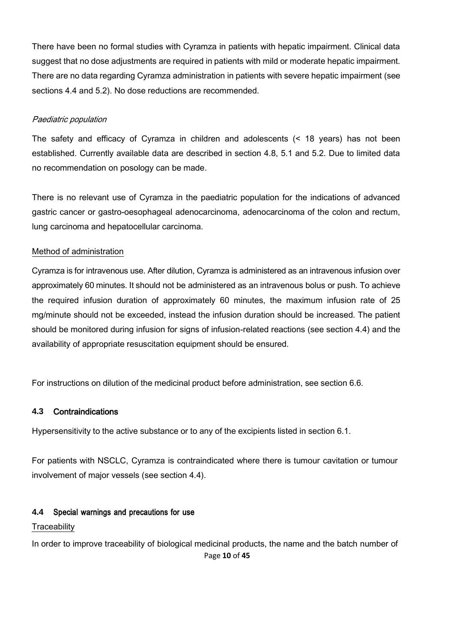There have been no formal studies with Cyramza in patients with hepatic impairment. Clinical data suggest that no dose adjustments are required in patients with mild or moderate hepatic impairment. There are no data regarding Cyramza administration in patients with severe hepatic impairment (see sections 4.4 and 5.2). No dose reductions are recommended.

### Paediatric population

The safety and efficacy of Cyramza in children and adolescents (< 18 years) has not been established. Currently available data are described in section 4.8, 5.1 and 5.2. Due to limited data no recommendation on posology can be made.

There is no relevant use of Cyramza in the paediatric population for the indications of advanced gastric cancer or gastro-oesophageal adenocarcinoma, adenocarcinoma of the colon and rectum, lung carcinoma and hepatocellular carcinoma.

### Method of administration

Cyramza is for intravenous use. After dilution, Cyramza is administered as an intravenous infusion over approximately 60 minutes. It should not be administered as an intravenous bolus or push. To achieve the required infusion duration of approximately 60 minutes, the maximum infusion rate of 25 mg/minute should not be exceeded, instead the infusion duration should be increased. The patient should be monitored during infusion for signs of infusion-related reactions (see section 4.4) and the availability of appropriate resuscitation equipment should be ensured.

For instructions on dilution of the medicinal product before administration, see section 6.6.

#### **4.3** Contraindications

Hypersensitivity to the active substance or to any of the excipients listed in section 6.1.

For patients with NSCLC, Cyramza is contraindicated where there is tumour cavitation or tumour involvement of major vessels (see section 4.4).

## **4.4** Special warnings and precautions for use

#### **Traceability**

Page **10** of **45** In order to improve traceability of biological medicinal products, the name and the batch number of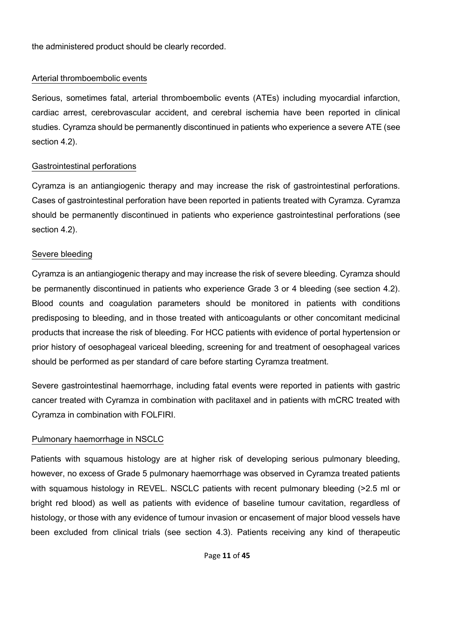the administered product should be clearly recorded.

#### Arterial thromboembolic events

Serious, sometimes fatal, arterial thromboembolic events (ATEs) including myocardial infarction, cardiac arrest, cerebrovascular accident, and cerebral ischemia have been reported in clinical studies. Cyramza should be permanently discontinued in patients who experience a severe ATE (see section 4.2).

### Gastrointestinal perforations

Cyramza is an antiangiogenic therapy and may increase the risk of gastrointestinal perforations. Cases of gastrointestinal perforation have been reported in patients treated with Cyramza. Cyramza should be permanently discontinued in patients who experience gastrointestinal perforations (see section 4.2).

### Severe bleeding

Cyramza is an antiangiogenic therapy and may increase the risk of severe bleeding. Cyramza should be permanently discontinued in patients who experience Grade 3 or 4 bleeding (see section 4.2). Blood counts and coagulation parameters should be monitored in patients with conditions predisposing to bleeding, and in those treated with anticoagulants or other concomitant medicinal products that increase the risk of bleeding. For HCC patients with evidence of portal hypertension or prior history of oesophageal variceal bleeding, screening for and treatment of oesophageal varices should be performed as per standard of care before starting Cyramza treatment.

Severe gastrointestinal haemorrhage, including fatal events were reported in patients with gastric cancer treated with Cyramza in combination with paclitaxel and in patients with mCRC treated with Cyramza in combination with FOLFIRI.

## Pulmonary haemorrhage in NSCLC

Patients with squamous histology are at higher risk of developing serious pulmonary bleeding, however, no excess of Grade 5 pulmonary haemorrhage was observed in Cyramza treated patients with squamous histology in REVEL. NSCLC patients with recent pulmonary bleeding (>2.5 ml or bright red blood) as well as patients with evidence of baseline tumour cavitation, regardless of histology, or those with any evidence of tumour invasion or encasement of major blood vessels have been excluded from clinical trials (see section 4.3). Patients receiving any kind of therapeutic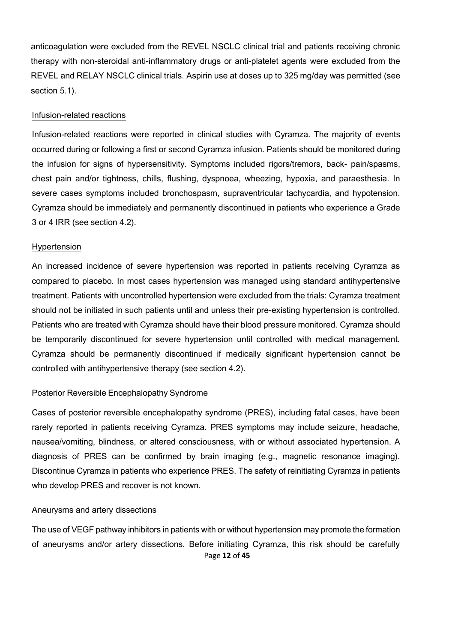anticoagulation were excluded from the REVEL NSCLC clinical trial and patients receiving chronic therapy with non-steroidal anti-inflammatory drugs or anti-platelet agents were excluded from the REVEL and RELAY NSCLC clinical trials. Aspirin use at doses up to 325 mg/day was permitted (see section 5.1).

#### Infusion-related reactions

Infusion-related reactions were reported in clinical studies with Cyramza. The majority of events occurred during or following a first or second Cyramza infusion. Patients should be monitored during the infusion for signs of hypersensitivity. Symptoms included rigors/tremors, back- pain/spasms, chest pain and/or tightness, chills, flushing, dyspnoea, wheezing, hypoxia, and paraesthesia. In severe cases symptoms included bronchospasm, supraventricular tachycardia, and hypotension. Cyramza should be immediately and permanently discontinued in patients who experience a Grade 3 or 4 IRR (see section 4.2).

#### Hypertension

An increased incidence of severe hypertension was reported in patients receiving Cyramza as compared to placebo. In most cases hypertension was managed using standard antihypertensive treatment. Patients with uncontrolled hypertension were excluded from the trials: Cyramza treatment should not be initiated in such patients until and unless their pre-existing hypertension is controlled. Patients who are treated with Cyramza should have their blood pressure monitored. Cyramza should be temporarily discontinued for severe hypertension until controlled with medical management. Cyramza should be permanently discontinued if medically significant hypertension cannot be controlled with antihypertensive therapy (see section 4.2).

#### Posterior Reversible Encephalopathy Syndrome

Cases of posterior reversible encephalopathy syndrome (PRES), including fatal cases, have been rarely reported in patients receiving Cyramza. PRES symptoms may include seizure, headache, nausea/vomiting, blindness, or altered consciousness, with or without associated hypertension. A diagnosis of PRES can be confirmed by brain imaging (e.g., magnetic resonance imaging). Discontinue Cyramza in patients who experience PRES. The safety of reinitiating Cyramza in patients who develop PRES and recover is not known.

#### Aneurysms and artery dissections

Page **12** of **45** The use of VEGF pathway inhibitors in patients with or without hypertension may promote the formation of aneurysms and/or artery dissections. Before initiating Cyramza, this risk should be carefully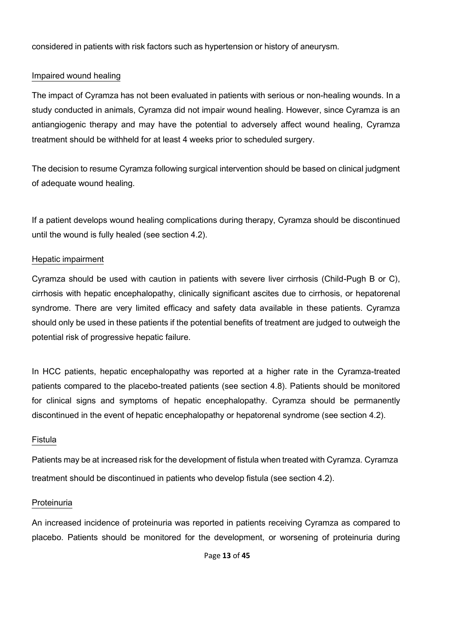considered in patients with risk factors such as hypertension or history of aneurysm.

## Impaired wound healing

The impact of Cyramza has not been evaluated in patients with serious or non-healing wounds. In a study conducted in animals, Cyramza did not impair wound healing. However, since Cyramza is an antiangiogenic therapy and may have the potential to adversely affect wound healing, Cyramza treatment should be withheld for at least 4 weeks prior to scheduled surgery.

The decision to resume Cyramza following surgical intervention should be based on clinical judgment of adequate wound healing.

If a patient develops wound healing complications during therapy, Cyramza should be discontinued until the wound is fully healed (see section 4.2).

## Hepatic impairment

Cyramza should be used with caution in patients with severe liver cirrhosis (Child-Pugh B or C), cirrhosis with hepatic encephalopathy, clinically significant ascites due to cirrhosis, or hepatorenal syndrome. There are very limited efficacy and safety data available in these patients. Cyramza should only be used in these patients if the potential benefits of treatment are judged to outweigh the potential risk of progressive hepatic failure.

In HCC patients, hepatic encephalopathy was reported at a higher rate in the Cyramza-treated patients compared to the placebo-treated patients (see section 4.8). Patients should be monitored for clinical signs and symptoms of hepatic encephalopathy. Cyramza should be permanently discontinued in the event of hepatic encephalopathy or hepatorenal syndrome (see section 4.2).

## Fistula

Patients may be at increased risk for the development of fistula when treated with Cyramza. Cyramza treatment should be discontinued in patients who develop fistula (see section 4.2).

## Proteinuria

An increased incidence of proteinuria was reported in patients receiving Cyramza as compared to placebo. Patients should be monitored for the development, or worsening of proteinuria during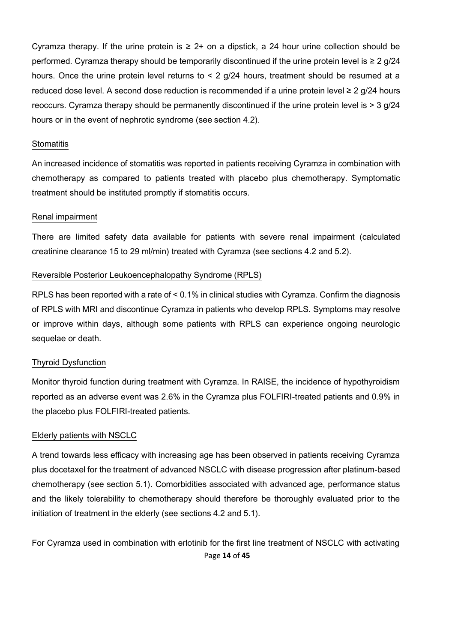Cyramza therapy. If the urine protein is  $\geq 2+$  on a dipstick, a 24 hour urine collection should be performed. Cyramza therapy should be temporarily discontinued if the urine protein level is  $\geq 2$  g/24 hours. Once the urine protein level returns to < 2 g/24 hours, treatment should be resumed at a reduced dose level. A second dose reduction is recommended if a urine protein level ≥ 2  $q/24$  hours reoccurs. Cyramza therapy should be permanently discontinued if the urine protein level is > 3 g/24 hours or in the event of nephrotic syndrome (see section 4.2).

#### **Stomatitis**

An increased incidence of stomatitis was reported in patients receiving Cyramza in combination with chemotherapy as compared to patients treated with placebo plus chemotherapy. Symptomatic treatment should be instituted promptly if stomatitis occurs.

#### Renal impairment

There are limited safety data available for patients with severe renal impairment (calculated creatinine clearance 15 to 29 ml/min) treated with Cyramza (see sections 4.2 and 5.2).

#### Reversible Posterior Leukoencephalopathy Syndrome (RPLS)

RPLS has been reported with a rate of < 0.1% in clinical studies with Cyramza. Confirm the diagnosis of RPLS with MRI and discontinue Cyramza in patients who develop RPLS. Symptoms may resolve or improve within days, although some patients with RPLS can experience ongoing neurologic sequelae or death.

#### Thyroid Dysfunction

Monitor thyroid function during treatment with Cyramza. In RAISE, the incidence of hypothyroidism reported as an adverse event was 2.6% in the Cyramza plus FOLFIRI-treated patients and 0.9% in the placebo plus FOLFIRI-treated patients.

#### Elderly patients with NSCLC

A trend towards less efficacy with increasing age has been observed in patients receiving Cyramza plus docetaxel for the treatment of advanced NSCLC with disease progression after platinum-based chemotherapy (see section 5.1). Comorbidities associated with advanced age, performance status and the likely tolerability to chemotherapy should therefore be thoroughly evaluated prior to the initiation of treatment in the elderly (see sections 4.2 and 5.1).

Page **14** of **45** For Cyramza used in combination with erlotinib for the first line treatment of NSCLC with activating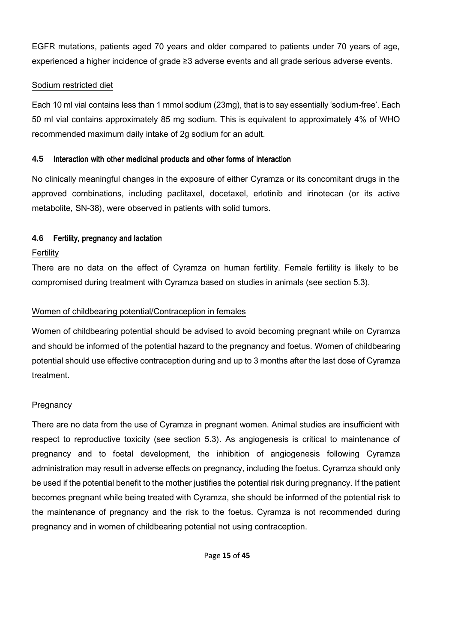EGFR mutations, patients aged 70 years and older compared to patients under 70 years of age, experienced a higher incidence of grade ≥3 adverse events and all grade serious adverse events.

## Sodium restricted diet

Each 10 ml vial contains less than 1 mmol sodium (23mg), that is to say essentially 'sodium-free'. Each 50 ml vial contains approximately 85 mg sodium. This is equivalent to approximately 4% of WHO recommended maximum daily intake of 2g sodium for an adult.

## **4.5** Interaction with other medicinal products and other forms of interaction

No clinically meaningful changes in the exposure of either Cyramza or its concomitant drugs in the approved combinations, including paclitaxel, docetaxel, erlotinib and irinotecan (or its active metabolite, SN-38), were observed in patients with solid tumors.

## **4.6** Fertility, pregnancy and lactation

## Fertility

There are no data on the effect of Cyramza on human fertility. Female fertility is likely to be compromised during treatment with Cyramza based on studies in animals (see section 5.3).

## Women of childbearing potential/Contraception in females

Women of childbearing potential should be advised to avoid becoming pregnant while on Cyramza and should be informed of the potential hazard to the pregnancy and foetus. Women of childbearing potential should use effective contraception during and up to 3 months after the last dose of Cyramza treatment.

## **Pregnancy**

There are no data from the use of Cyramza in pregnant women. Animal studies are insufficient with respect to reproductive toxicity (see section 5.3). As angiogenesis is critical to maintenance of pregnancy and to foetal development, the inhibition of angiogenesis following Cyramza administration may result in adverse effects on pregnancy, including the foetus. Cyramza should only be used if the potential benefit to the mother justifies the potential risk during pregnancy. If the patient becomes pregnant while being treated with Cyramza, she should be informed of the potential risk to the maintenance of pregnancy and the risk to the foetus. Cyramza is not recommended during pregnancy and in women of childbearing potential not using contraception.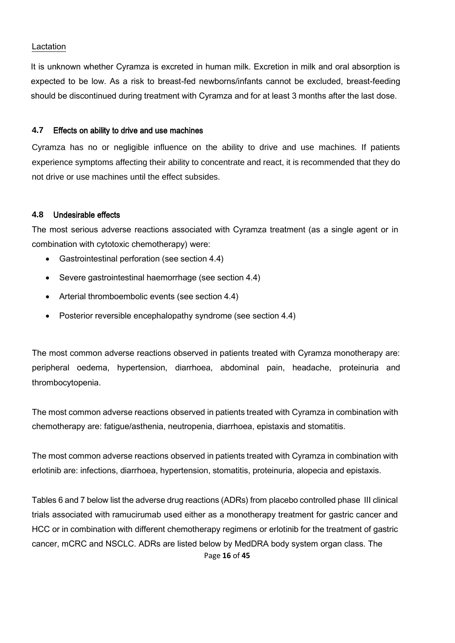#### Lactation

It is unknown whether Cyramza is excreted in human milk. Excretion in milk and oral absorption is expected to be low. As a risk to breast-fed newborns/infants cannot be excluded, breast-feeding should be discontinued during treatment with Cyramza and for at least 3 months after the last dose.

#### **4.7** Effects on ability to drive and use machines

Cyramza has no or negligible influence on the ability to drive and use machines. If patients experience symptoms affecting their ability to concentrate and react, it is recommended that they do not drive or use machines until the effect subsides.

#### **4.8** Undesirable effects

The most serious adverse reactions associated with Cyramza treatment (as a single agent or in combination with cytotoxic chemotherapy) were:

- Gastrointestinal perforation (see section 4.4)
- Severe gastrointestinal haemorrhage (see section 4.4)
- Arterial thromboembolic events (see section 4.4)
- Posterior reversible encephalopathy syndrome (see section 4.4)

The most common adverse reactions observed in patients treated with Cyramza monotherapy are: peripheral oedema, hypertension, diarrhoea, abdominal pain, headache, proteinuria and thrombocytopenia.

The most common adverse reactions observed in patients treated with Cyramza in combination with chemotherapy are: fatigue/asthenia, neutropenia, diarrhoea, epistaxis and stomatitis.

The most common adverse reactions observed in patients treated with Cyramza in combination with erlotinib are: infections, diarrhoea, hypertension, stomatitis, proteinuria, alopecia and epistaxis.

Page **16** of **45** Tables 6 and 7 below list the adverse drug reactions (ADRs) from placebo controlled phase III clinical trials associated with ramucirumab used either as a monotherapy treatment for gastric cancer and HCC or in combination with different chemotherapy regimens or erlotinib for the treatment of gastric cancer, mCRC and NSCLC. ADRs are listed below by MedDRA body system organ class. The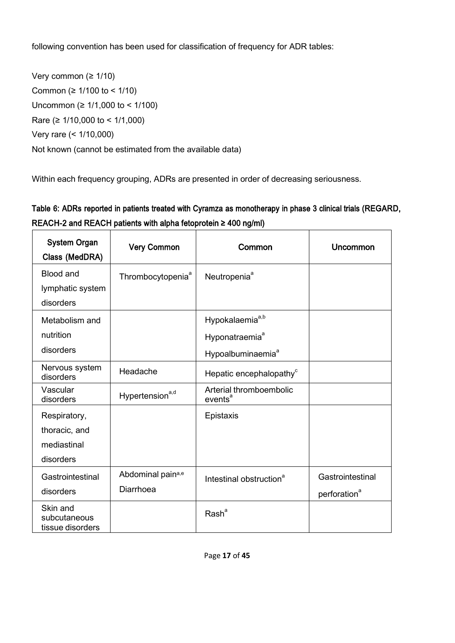following convention has been used for classification of frequency for ADR tables:

Very common (≥ 1/10) Common (≥ 1/100 to < 1/10) Uncommon (≥ 1/1,000 to < 1/100) Rare (≥ 1/10,000 to < 1/1,000) Very rare (< 1/10,000) Not known (cannot be estimated from the available data)

Within each frequency grouping, ADRs are presented in order of decreasing seriousness.

# Table 6: ADRs reported in patients treated with Cyramza as monotherapy in phase 3 clinical trials (REGARD, REACH-2 and REACH patients with alpha fetoprotein ≥ 400 ng/ml)

| <b>System Organ</b><br>Class (MedDRA)                     | <b>Very Common</b>             | Common                                                                                     | Uncommon                                     |
|-----------------------------------------------------------|--------------------------------|--------------------------------------------------------------------------------------------|----------------------------------------------|
| <b>Blood and</b><br>lymphatic system<br>disorders         | Thrombocytopenia <sup>a</sup>  | Neutropenia <sup>a</sup>                                                                   |                                              |
| Metabolism and<br>nutrition<br>disorders                  |                                | Hypokalaemia <sup>a,b</sup><br>Hyponatraemia <sup>a</sup><br>Hypoalbuminaemia <sup>a</sup> |                                              |
| Nervous system<br>disorders                               | Headache                       | Hepatic encephalopathy <sup>c</sup>                                                        |                                              |
| Vascular<br>disorders                                     | Hypertension <sup>a,d</sup>    | Arterial thromboembolic<br>events <sup>a</sup>                                             |                                              |
| Respiratory,<br>thoracic, and<br>mediastinal<br>disorders |                                | Epistaxis                                                                                  |                                              |
| Gastrointestinal<br>disorders                             | Abdominal paina,e<br>Diarrhoea | Intestinal obstruction <sup>a</sup>                                                        | Gastrointestinal<br>perforation <sup>a</sup> |
| Skin and<br>subcutaneous<br>tissue disorders              |                                | Rash <sup>a</sup>                                                                          |                                              |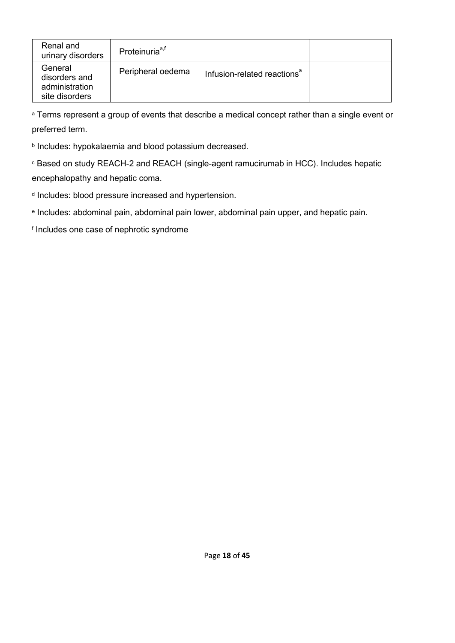| Renal and<br>urinary disorders                               | Proteinuria <sup>a,t</sup> |                                         |  |
|--------------------------------------------------------------|----------------------------|-----------------------------------------|--|
| General<br>disorders and<br>administration<br>site disorders | Peripheral oedema          | Infusion-related reactions <sup>a</sup> |  |

a Terms represent a group of events that describe a medical concept rather than a single event or preferred term.

**b Includes: hypokalaemia and blood potassium decreased.** 

<sup>c</sup> Based on study REACH-2 and REACH (single-agent ramucirumab in HCC). Includes hepatic encephalopathy and hepatic coma.

d Includes: blood pressure increased and hypertension.

e Includes: abdominal pain, abdominal pain lower, abdominal pain upper, and hepatic pain.

f Includes one case of nephrotic syndrome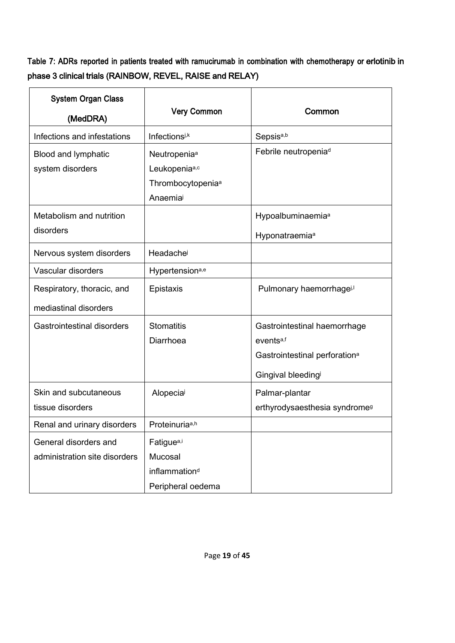Table 7: ADRs reported in patients treated with ramucirumab in combination with chemotherapy or erlotinib in phase 3 clinical trials (RAINBOW, REVEL, RAISE and RELAY)

| <b>System Organ Class</b>     |                               |                                           |
|-------------------------------|-------------------------------|-------------------------------------------|
| (MedDRA)                      | <b>Very Common</b>            | Common                                    |
| Infections and infestations   | Infectionsi,k                 | Sepsis <sup>a,b</sup>                     |
| Blood and lymphatic           | Neutropenia <sup>a</sup>      | Febrile neutropenia <sup>d</sup>          |
| system disorders              | Leukopeniaa,c                 |                                           |
|                               | Thrombocytopenia <sup>a</sup> |                                           |
|                               | Anaemia                       |                                           |
| Metabolism and nutrition      |                               | Hypoalbuminaemia <sup>a</sup>             |
| disorders                     |                               | Hyponatraemia <sup>a</sup>                |
| Nervous system disorders      | Headache                      |                                           |
| Vascular disorders            | Hypertension <sup>a,e</sup>   |                                           |
| Respiratory, thoracic, and    | Epistaxis                     | Pulmonary haemorrhagei,                   |
| mediastinal disorders         |                               |                                           |
| Gastrointestinal disorders    | <b>Stomatitis</b>             | Gastrointestinal haemorrhage              |
|                               | Diarrhoea                     | events <sup>a,f</sup>                     |
|                               |                               | Gastrointestinal perforation <sup>a</sup> |
|                               |                               | Gingival bleedingi                        |
| Skin and subcutaneous         | Alopecial                     | Palmar-plantar                            |
| tissue disorders              |                               | erthyrodysaesthesia syndrome <sup>g</sup> |
| Renal and urinary disorders   | Proteinuriaa,h                |                                           |
| General disorders and         | Fatigue <sup>a,i</sup>        |                                           |
| administration site disorders | Mucosal                       |                                           |
|                               | inflammation <sup>d</sup>     |                                           |
|                               | Peripheral oedema             |                                           |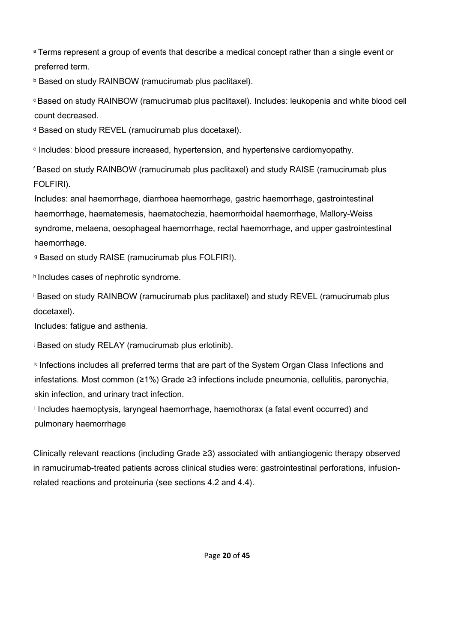a Terms represent a group of events that describe a medical concept rather than a single event or preferred term.

**b Based on study RAINBOW (ramucirumab plus paclitaxel).** 

<sup>c</sup> Based on study RAINBOW (ramucirumab plus paclitaxel). Includes: leukopenia and white blood cell count decreased.

<sup>d</sup> Based on study REVEL (ramucirumab plus docetaxel).

e Includes: blood pressure increased, hypertension, and hypertensive cardiomyopathy.

<sup>f</sup> Based on study RAINBOW (ramucirumab plus paclitaxel) and study RAISE (ramucirumab plus FOLFIRI).

Includes: anal haemorrhage, diarrhoea haemorrhage, gastric haemorrhage, gastrointestinal haemorrhage, haematemesis, haematochezia, haemorrhoidal haemorrhage, Mallory-Weiss syndrome, melaena, oesophageal haemorrhage, rectal haemorrhage, and upper gastrointestinal haemorrhage.

<sup>g</sup> Based on study RAISE (ramucirumab plus FOLFIRI).

h Includes cases of nephrotic syndrome.

<sup>i</sup> Based on study RAINBOW (ramucirumab plus paclitaxel) and study REVEL (ramucirumab plus docetaxel).

Includes: fatigue and asthenia.

<sup>j</sup> Based on study RELAY (ramucirumab plus erlotinib).

k Infections includes all preferred terms that are part of the System Organ Class Infections and infestations. Most common (≥1%) Grade ≥3 infections include pneumonia, cellulitis, paronychia, skin infection, and urinary tract infection.

l Includes haemoptysis, laryngeal haemorrhage, haemothorax (a fatal event occurred) and pulmonary haemorrhage

Clinically relevant reactions (including Grade ≥3) associated with antiangiogenic therapy observed in ramucirumab-treated patients across clinical studies were: gastrointestinal perforations, infusionrelated reactions and proteinuria (see sections 4.2 and 4.4).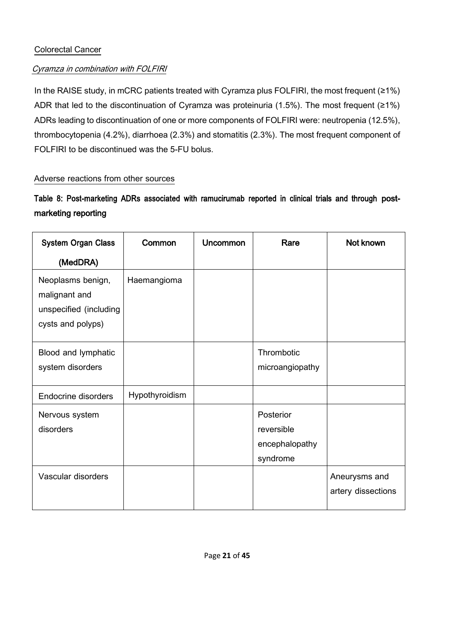## Colorectal Cancer

## Cyramza in combination with FOLFIRI

In the RAISE study, in mCRC patients treated with Cyramza plus FOLFIRI, the most frequent (≥1%) ADR that led to the discontinuation of Cyramza was proteinuria (1.5%). The most frequent (≥1%) ADRs leading to discontinuation of one or more components of FOLFIRI were: neutropenia (12.5%), thrombocytopenia (4.2%), diarrhoea (2.3%) and stomatitis (2.3%). The most frequent component of FOLFIRI to be discontinued was the 5-FU bolus.

## Adverse reactions from other sources

Table 8: Post-marketing ADRs associated with ramucirumab reported in clinical trials and through postmarketing reporting

| <b>System Organ Class</b>                                                         | Common         | <b>Uncommon</b> | Rare                                                  | Not known                           |
|-----------------------------------------------------------------------------------|----------------|-----------------|-------------------------------------------------------|-------------------------------------|
| (MedDRA)                                                                          |                |                 |                                                       |                                     |
| Neoplasms benign,<br>malignant and<br>unspecified (including<br>cysts and polyps) | Haemangioma    |                 |                                                       |                                     |
| Blood and lymphatic<br>system disorders                                           |                |                 | Thrombotic<br>microangiopathy                         |                                     |
| <b>Endocrine disorders</b>                                                        | Hypothyroidism |                 |                                                       |                                     |
| Nervous system<br>disorders                                                       |                |                 | Posterior<br>reversible<br>encephalopathy<br>syndrome |                                     |
| Vascular disorders                                                                |                |                 |                                                       | Aneurysms and<br>artery dissections |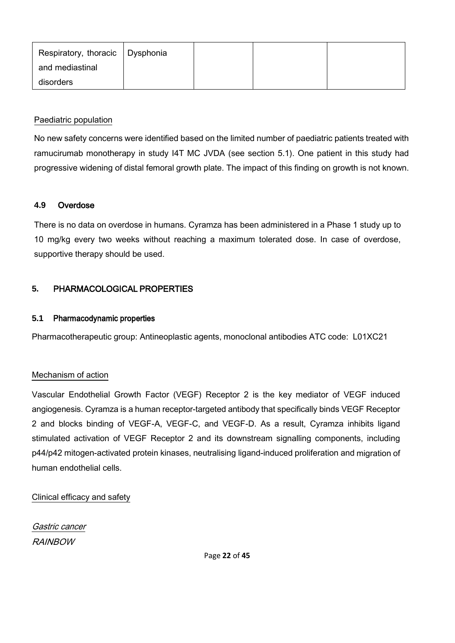| Respiratory, thoracic   Dysphonia |  |  |
|-----------------------------------|--|--|
| and mediastinal                   |  |  |
| disorders                         |  |  |

## Paediatric population

No new safety concerns were identified based on the limited number of paediatric patients treated with ramucirumab monotherapy in study I4T MC JVDA (see section 5.1). One patient in this study had progressive widening of distal femoral growth plate. The impact of this finding on growth is not known.

### **4.9** Overdose

There is no data on overdose in humans. Cyramza has been administered in a Phase 1 study up to 10 mg/kg every two weeks without reaching a maximum tolerated dose. In case of overdose, supportive therapy should be used.

## **5.** PHARMACOLOGICAL PROPERTIES

#### **5.1** Pharmacodynamic properties

Pharmacotherapeutic group: Antineoplastic agents, monoclonal antibodies ATC code: L01XC21

#### Mechanism of action

Vascular Endothelial Growth Factor (VEGF) Receptor 2 is the key mediator of VEGF induced angiogenesis. Cyramza is a human receptor-targeted antibody that specifically binds VEGF Receptor 2 and blocks binding of VEGF-A, VEGF-C, and VEGF-D. As a result, Cyramza inhibits ligand stimulated activation of VEGF Receptor 2 and its downstream signalling components, including p44/p42 mitogen-activated protein kinases, neutralising ligand-induced proliferation and migration of human endothelial cells.

Clinical efficacy and safety

Gastric cancer RAINBOW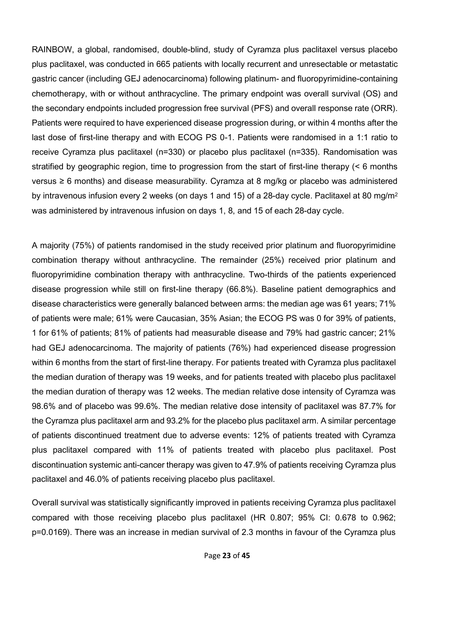RAINBOW, a global, randomised, double-blind, study of Cyramza plus paclitaxel versus placebo plus paclitaxel, was conducted in 665 patients with locally recurrent and unresectable or metastatic gastric cancer (including GEJ adenocarcinoma) following platinum- and fluoropyrimidine-containing chemotherapy, with or without anthracycline. The primary endpoint was overall survival (OS) and the secondary endpoints included progression free survival (PFS) and overall response rate (ORR). Patients were required to have experienced disease progression during, or within 4 months after the last dose of first-line therapy and with ECOG PS 0-1. Patients were randomised in a 1:1 ratio to receive Cyramza plus paclitaxel (n=330) or placebo plus paclitaxel (n=335). Randomisation was stratified by geographic region, time to progression from the start of first-line therapy (< 6 months versus ≥ 6 months) and disease measurability. Cyramza at 8 mg/kg or placebo was administered by intravenous infusion every 2 weeks (on days 1 and 15) of a 28-day cycle. Paclitaxel at 80 mg/m<sup>2</sup> was administered by intravenous infusion on days 1, 8, and 15 of each 28-day cycle.

A majority (75%) of patients randomised in the study received prior platinum and fluoropyrimidine combination therapy without anthracycline. The remainder (25%) received prior platinum and fluoropyrimidine combination therapy with anthracycline. Two-thirds of the patients experienced disease progression while still on first-line therapy (66.8%). Baseline patient demographics and disease characteristics were generally balanced between arms: the median age was 61 years; 71% of patients were male; 61% were Caucasian, 35% Asian; the ECOG PS was 0 for 39% of patients, 1 for 61% of patients; 81% of patients had measurable disease and 79% had gastric cancer; 21% had GEJ adenocarcinoma. The majority of patients (76%) had experienced disease progression within 6 months from the start of first-line therapy. For patients treated with Cyramza plus paclitaxel the median duration of therapy was 19 weeks, and for patients treated with placebo plus paclitaxel the median duration of therapy was 12 weeks. The median relative dose intensity of Cyramza was 98.6% and of placebo was 99.6%. The median relative dose intensity of paclitaxel was 87.7% for the Cyramza plus paclitaxel arm and 93.2% for the placebo plus paclitaxel arm. A similar percentage of patients discontinued treatment due to adverse events: 12% of patients treated with Cyramza plus paclitaxel compared with 11% of patients treated with placebo plus paclitaxel. Post discontinuation systemic anti-cancer therapy was given to 47.9% of patients receiving Cyramza plus paclitaxel and 46.0% of patients receiving placebo plus paclitaxel.

Overall survival was statistically significantly improved in patients receiving Cyramza plus paclitaxel compared with those receiving placebo plus paclitaxel (HR 0.807; 95% CI: 0.678 to 0.962; p=0.0169). There was an increase in median survival of 2.3 months in favour of the Cyramza plus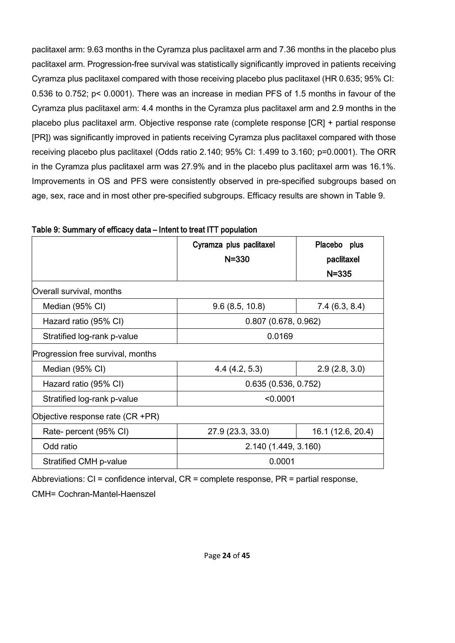paclitaxel arm: 9.63 months in the Cyramza plus paclitaxel arm and 7.36 months in the placebo plus paclitaxel arm. Progression-free survival was statistically significantly improved in patients receiving Cyramza plus paclitaxel compared with those receiving placebo plus paclitaxel (HR 0.635; 95% CI: 0.536 to 0.752; p< 0.0001). There was an increase in median PFS of 1.5 months in favour of the Cyramza plus paclitaxel arm: 4.4 months in the Cyramza plus paclitaxel arm and 2.9 months in the placebo plus paclitaxel arm. Objective response rate (complete response [CR] + partial response [PR]) was significantly improved in patients receiving Cyramza plus paclitaxel compared with those receiving placebo plus paclitaxel (Odds ratio 2.140; 95% CI: 1.499 to 3.160; p=0.0001). The ORR in the Cyramza plus paclitaxel arm was 27.9% and in the placebo plus paclitaxel arm was 16.1%. Improvements in OS and PFS were consistently observed in pre-specified subgroups based on age, sex, race and in most other pre-specified subgroups. Efficacy results are shown in Table 9.

|                                                 | Cyramza plus paclitaxel<br>$N = 330$ | Placebo plus<br>paclitaxel |
|-------------------------------------------------|--------------------------------------|----------------------------|
|                                                 |                                      | $N = 335$                  |
| Overall survival, months                        |                                      |                            |
| Median (95% CI)                                 | 9.6(8.5, 10.8)                       | 7.4(6.3, 8.4)              |
| $0.807$ (0.678, 0.962)<br>Hazard ratio (95% CI) |                                      |                            |
| Stratified log-rank p-value                     | 0.0169                               |                            |
| Progression free survival, months               |                                      |                            |
| Median (95% CI)                                 | 4.4(4.2, 5.3)                        | 2.9(2.8, 3.0)              |
| Hazard ratio (95% CI)                           | 0.635(0.536, 0.752)                  |                            |
| Stratified log-rank p-value                     | < 0.0001                             |                            |
| Objective response rate (CR +PR)                |                                      |                            |
| Rate- percent (95% CI)                          | 27.9 (23.3, 33.0)                    | 16.1 (12.6, 20.4)          |
| Odd ratio                                       | 2.140 (1.449, 3.160)                 |                            |
| Stratified CMH p-value                          | 0.0001                               |                            |

Table 9: Summary of efficacy data – Intent to treat ITT population

Abbreviations: CI = confidence interval, CR = complete response, PR = partial response,

CMH= Cochran-Mantel-Haenszel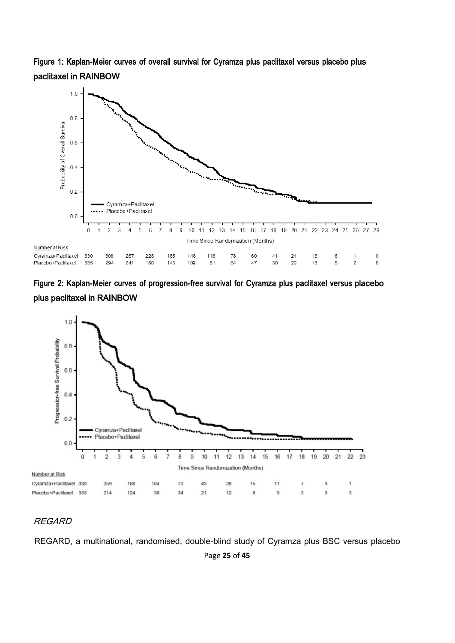Figure 1: Kaplan-Meier curves of overall survival for Cyramza plus paclitaxel versus placebo plus paclitaxel in RAINBOW







## REGARD

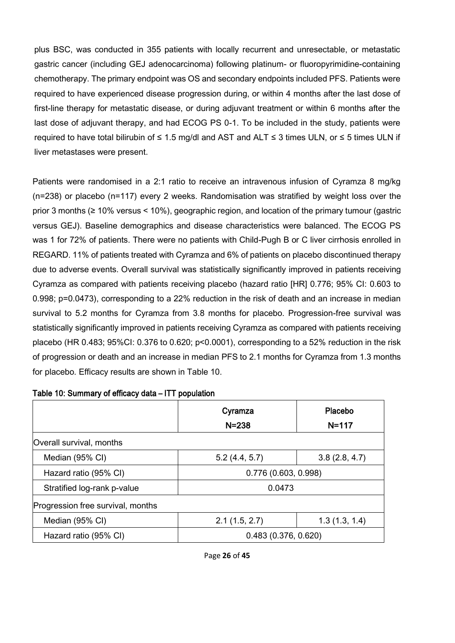plus BSC, was conducted in 355 patients with locally recurrent and unresectable, or metastatic gastric cancer (including GEJ adenocarcinoma) following platinum- or fluoropyrimidine-containing chemotherapy. The primary endpoint was OS and secondary endpoints included PFS. Patients were required to have experienced disease progression during, or within 4 months after the last dose of first-line therapy for metastatic disease, or during adjuvant treatment or within 6 months after the last dose of adjuvant therapy, and had ECOG PS 0-1. To be included in the study, patients were required to have total bilirubin of ≤ 1.5 mg/dl and AST and ALT ≤ 3 times ULN, or ≤ 5 times ULN if liver metastases were present.

Patients were randomised in a 2:1 ratio to receive an intravenous infusion of Cyramza 8 mg/kg (n=238) or placebo (n=117) every 2 weeks. Randomisation was stratified by weight loss over the prior 3 months (≥ 10% versus < 10%), geographic region, and location of the primary tumour (gastric versus GEJ). Baseline demographics and disease characteristics were balanced. The ECOG PS was 1 for 72% of patients. There were no patients with Child-Pugh B or C liver cirrhosis enrolled in REGARD. 11% of patients treated with Cyramza and 6% of patients on placebo discontinued therapy due to adverse events. Overall survival was statistically significantly improved in patients receiving Cyramza as compared with patients receiving placebo (hazard ratio [HR] 0.776; 95% CI: 0.603 to 0.998; p=0.0473), corresponding to a 22% reduction in the risk of death and an increase in median survival to 5.2 months for Cyramza from 3.8 months for placebo. Progression-free survival was statistically significantly improved in patients receiving Cyramza as compared with patients receiving placebo (HR 0.483; 95%CI: 0.376 to 0.620; p<0.0001), corresponding to a 52% reduction in the risk of progression or death and an increase in median PFS to 2.1 months for Cyramza from 1.3 months for placebo. Efficacy results are shown in Table 10.

|                                   | Cyramza<br>$N = 238$ | Placebo<br>$N = 117$ |
|-----------------------------------|----------------------|----------------------|
| Overall survival, months          |                      |                      |
| Median (95% CI)                   | 5.2(4.4, 5.7)        | 3.8(2.8, 4.7)        |
| Hazard ratio (95% CI)             | 0.776(0.603, 0.998)  |                      |
| Stratified log-rank p-value       | 0.0473               |                      |
| Progression free survival, months |                      |                      |
| Median (95% CI)                   | 2.1(1.5, 2.7)        | 1.3(1.3, 1.4)        |
| Hazard ratio (95% CI)             | 0.483(0.376, 0.620)  |                      |

## Table 10: Summary of efficacy data – ITT population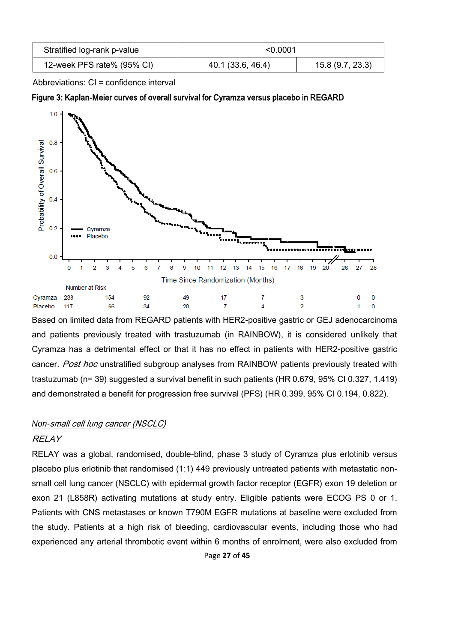| Stratified log-rank p-value | < 0.0001          |                  |
|-----------------------------|-------------------|------------------|
| 12-week PFS rate% (95% CI)  | 40.1 (33.6, 46.4) | 15.8 (9.7, 23.3) |

Abbreviations: CI = confidence interval

#### Figure 3: Kaplan-Meier curves of overall survival for Cyramza versus placebo in REGARD



Based on limited data from REGARD patients with HER2-positive gastric or GEJ adenocarcinoma and patients previously treated with trastuzumab (in RAINBOW), it is considered unlikely that Cyramza has a detrimental effect or that it has no effect in patients with HER2-positive gastric cancer. Post hoc unstratified subgroup analyses from RAINBOW patients previously treated with trastuzumab (n= 39) suggested a survival benefit in such patients (HR 0.679, 95% CI 0.327, 1.419) and demonstrated a benefit for progression free survival (PFS) (HR 0.399, 95% CI 0.194, 0.822).

## *Non-*small cell lung cancer (NSCLC)

## **RELAY**

RELAY was a global, randomised, double-blind, phase 3 study of Cyramza plus erlotinib versus placebo plus erlotinib that randomised (1:1) 449 previously untreated patients with metastatic nonsmall cell lung cancer (NSCLC) with epidermal growth factor receptor (EGFR) exon 19 deletion or exon 21 (L858R) activating mutations at study entry. Eligible patients were ECOG PS 0 or 1. Patients with CNS metastases or known T790M EGFR mutations at baseline were excluded from the study. Patients at a high risk of bleeding, cardiovascular events, including those who had experienced any arterial thrombotic event within 6 months of enrolment, were also excluded from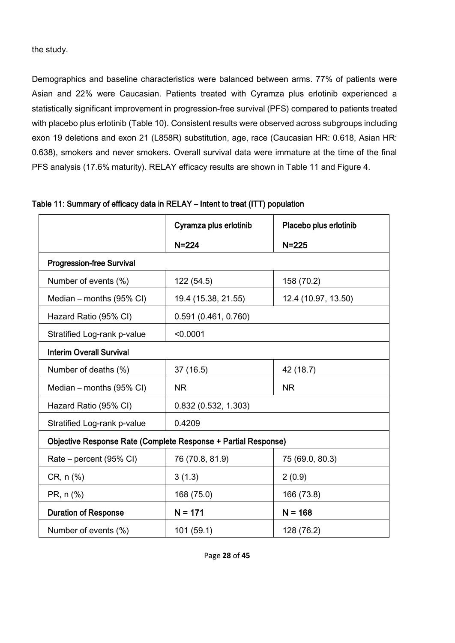the study.

Demographics and baseline characteristics were balanced between arms. 77% of patients were Asian and 22% were Caucasian. Patients treated with Cyramza plus erlotinib experienced a statistically significant improvement in progression-free survival (PFS) compared to patients treated with placebo plus erlotinib (Table 10). Consistent results were observed across subgroups including exon 19 deletions and exon 21 (L858R) substitution, age, race (Caucasian HR: 0.618, Asian HR: 0.638), smokers and never smokers. Overall survival data were immature at the time of the final PFS analysis (17.6% maturity). RELAY efficacy results are shown in Table 11 and Figure 4.

|                                                                | Cyramza plus erlotinib | Placebo plus erlotinib |
|----------------------------------------------------------------|------------------------|------------------------|
|                                                                | $N = 224$              | $N = 225$              |
| <b>Progression-free Survival</b>                               |                        |                        |
| Number of events (%)                                           | 122 (54.5)             | 158 (70.2)             |
| Median – months (95% CI)                                       | 19.4 (15.38, 21.55)    | 12.4 (10.97, 13.50)    |
| Hazard Ratio (95% CI)                                          | 0.591(0.461, 0.760)    |                        |
| Stratified Log-rank p-value                                    | < 0.0001               |                        |
| <b>Interim Overall Survival</b>                                |                        |                        |
| Number of deaths (%)                                           | 37 (16.5)              | 42 (18.7)              |
| Median - months (95% CI)                                       | <b>NR</b>              | <b>NR</b>              |
| Hazard Ratio (95% CI)                                          | 0.832(0.532, 1.303)    |                        |
| Stratified Log-rank p-value                                    | 0.4209                 |                        |
| Objective Response Rate (Complete Response + Partial Response) |                        |                        |
| Rate – percent (95% CI)                                        | 76 (70.8, 81.9)        | 75 (69.0, 80.3)        |
| $CR, n (\%)$                                                   | 3(1.3)                 | 2(0.9)                 |
| PR, n (%)                                                      | 168 (75.0)             | 166 (73.8)             |
| <b>Duration of Response</b>                                    | $N = 171$              | $N = 168$              |
| Number of events (%)                                           | 101(59.1)              | 128 (76.2)             |

## Table 11: Summary of efficacy data in RELAY – Intent to treat (ITT) population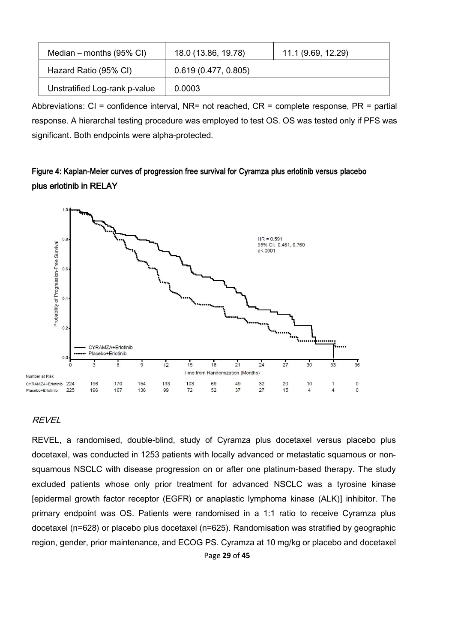| Median – months $(95\% \text{ Cl})$ | 18.0 (13.86, 19.78) | 11.1 (9.69, 12.29) |
|-------------------------------------|---------------------|--------------------|
| Hazard Ratio (95% CI)               | 0.619(0.477, 0.805) |                    |
| Unstratified Log-rank p-value       | 0.0003              |                    |

Abbreviations:  $CI =$  confidence interval, NR= not reached,  $CR =$  complete response,  $PR =$  partial response. A hierarchal testing procedure was employed to test OS. OS was tested only if PFS was significant. Both endpoints were alpha-protected.

## Figure 4: Kaplan-Meier curves of progression free survival for Cyramza plus erlotinib versus placebo plus erlotinib in RELAY



## REVEL

Page **29** of **45** REVEL, a randomised, double-blind, study of Cyramza plus docetaxel versus placebo plus docetaxel, was conducted in 1253 patients with locally advanced or metastatic squamous or nonsquamous NSCLC with disease progression on or after one platinum-based therapy. The study excluded patients whose only prior treatment for advanced NSCLC was a tyrosine kinase [epidermal growth factor receptor (EGFR) or anaplastic lymphoma kinase (ALK)] inhibitor. The primary endpoint was OS. Patients were randomised in a 1:1 ratio to receive Cyramza plus docetaxel (n=628) or placebo plus docetaxel (n=625). Randomisation was stratified by geographic region, gender, prior maintenance, and ECOG PS. Cyramza at 10 mg/kg or placebo and docetaxel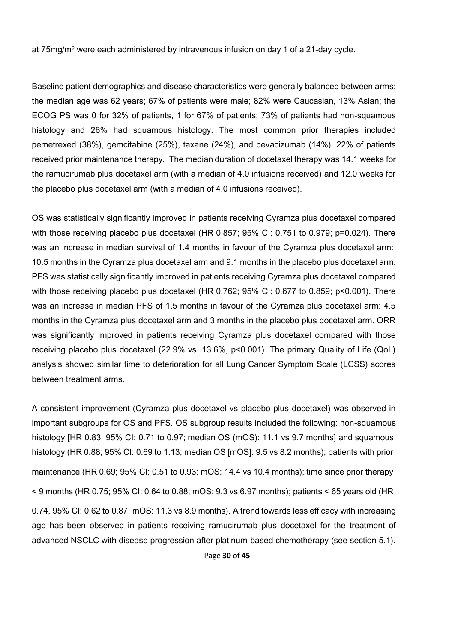at 75mg/m<sup>2</sup> were each administered by intravenous infusion on day 1 of a 21-day cycle.

Baseline patient demographics and disease characteristics were generally balanced between arms: the median age was 62 years; 67% of patients were male; 82% were Caucasian, 13% Asian; the ECOG PS was 0 for 32% of patients, 1 for 67% of patients; 73% of patients had non-squamous histology and 26% had squamous histology. The most common prior therapies included pemetrexed (38%), gemcitabine (25%), taxane (24%), and bevacizumab (14%). 22% of patients received prior maintenance therapy. The median duration of docetaxel therapy was 14.1 weeks for the ramucirumab plus docetaxel arm (with a median of 4.0 infusions received) and 12.0 weeks for the placebo plus docetaxel arm (with a median of 4.0 infusions received).

OS was statistically significantly improved in patients receiving Cyramza plus docetaxel compared with those receiving placebo plus docetaxel (HR 0.857; 95% CI: 0.751 to 0.979; p=0.024). There was an increase in median survival of 1.4 months in favour of the Cyramza plus docetaxel arm: 10.5 months in the Cyramza plus docetaxel arm and 9.1 months in the placebo plus docetaxel arm. PFS was statistically significantly improved in patients receiving Cyramza plus docetaxel compared with those receiving placebo plus docetaxel (HR 0.762; 95% CI: 0.677 to 0.859; p<0.001). There was an increase in median PFS of 1.5 months in favour of the Cyramza plus docetaxel arm: 4.5 months in the Cyramza plus docetaxel arm and 3 months in the placebo plus docetaxel arm. ORR was significantly improved in patients receiving Cyramza plus docetaxel compared with those receiving placebo plus docetaxel (22.9% vs. 13.6%, p<0.001). The primary Quality of Life (QoL) analysis showed similar time to deterioration for all Lung Cancer Symptom Scale (LCSS) scores between treatment arms.

A consistent improvement (Cyramza plus docetaxel vs placebo plus docetaxel) was observed in important subgroups for OS and PFS. OS subgroup results included the following: non-squamous histology [HR 0.83; 95% CI: 0.71 to 0.97; median OS (mOS): 11.1 vs 9.7 months] and squamous histology (HR 0.88; 95% CI: 0.69 to 1.13; median OS [mOS]: 9.5 vs 8.2 months); patients with prior maintenance (HR 0.69; 95% CI: 0.51 to 0.93; mOS: 14.4 vs 10.4 months); time since prior therapy  $\leq$  9 months (HR 0.75; 95% CI: 0.64 to 0.88; mOS: 9.3 vs 6.97 months); patients  $\leq$  65 years old (HR 0.74, 95% CI: 0.62 to 0.87; mOS: 11.3 vs 8.9 months). A trend towards less efficacy with increasing age has been observed in patients receiving ramucirumab plus docetaxel for the treatment of advanced NSCLC with disease progression after platinum-based chemotherapy (see section 5.1).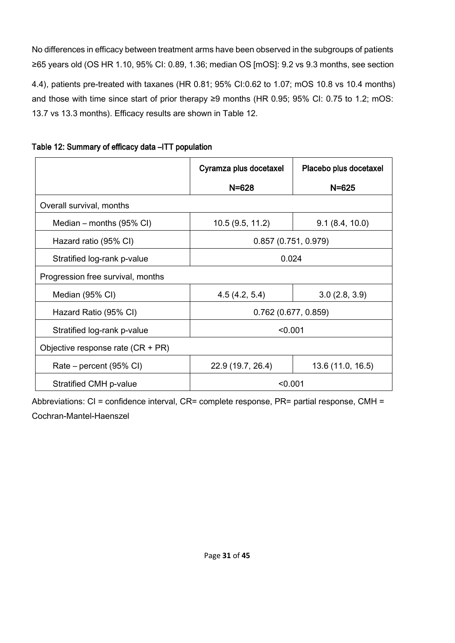No differences in efficacy between treatment arms have been observed in the subgroups of patients ≥65 years old (OS HR 1.10, 95% CI: 0.89, 1.36; median OS [mOS]: 9.2 vs 9.3 months, see section 4.4), patients pre-treated with taxanes (HR 0.81; 95% CI:0.62 to 1.07; mOS 10.8 vs 10.4 months) and those with time since start of prior therapy ≥9 months (HR 0.95; 95% CI: 0.75 to 1.2; mOS: 13.7 vs 13.3 months). Efficacy results are shown in Table 12.

|                                     | Cyramza plus docetaxel | Placebo plus docetaxel |  |
|-------------------------------------|------------------------|------------------------|--|
|                                     | $N = 628$              | $N = 625$              |  |
| Overall survival, months            |                        |                        |  |
| Median – months $(95\% \text{ Cl})$ | 10.5(9.5, 11.2)        | 9.1(8.4, 10.0)         |  |
| Hazard ratio (95% CI)               | 0.857(0.751, 0.979)    |                        |  |
| Stratified log-rank p-value         | 0.024                  |                        |  |
| Progression free survival, months   |                        |                        |  |
| Median (95% CI)                     | 4.5(4.2, 5.4)          | 3.0(2.8, 3.9)          |  |
| Hazard Ratio (95% CI)               | $0.762$ (0.677, 0.859) |                        |  |
| Stratified log-rank p-value         | < 0.001                |                        |  |
| Objective response rate (CR + PR)   |                        |                        |  |
| Rate – percent (95% CI)             | 22.9 (19.7, 26.4)      | 13.6 (11.0, 16.5)      |  |
| Stratified CMH p-value              | < 0.001                |                        |  |

Table 12: Summary of efficacy data –ITT population

Abbreviations: CI = confidence interval, CR= complete response, PR= partial response, CMH = Cochran-Mantel-Haenszel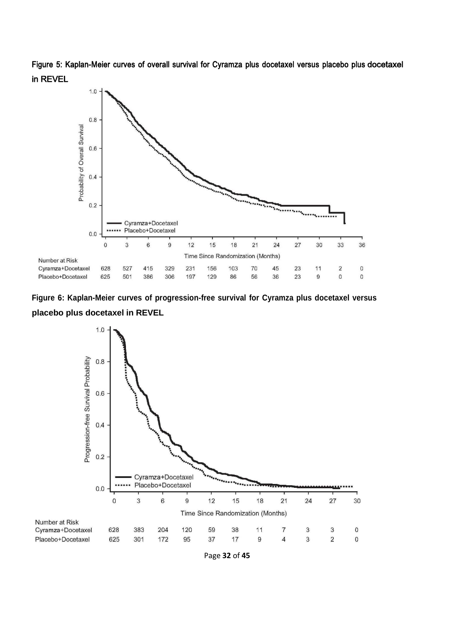Figure 5: Kaplan-Meier curves of overall survival for Cyramza plus docetaxel versus placebo plus docetaxel in REVEL

![](_page_31_Figure_1.jpeg)

![](_page_31_Figure_2.jpeg)

![](_page_31_Figure_3.jpeg)

Page **32** of **45**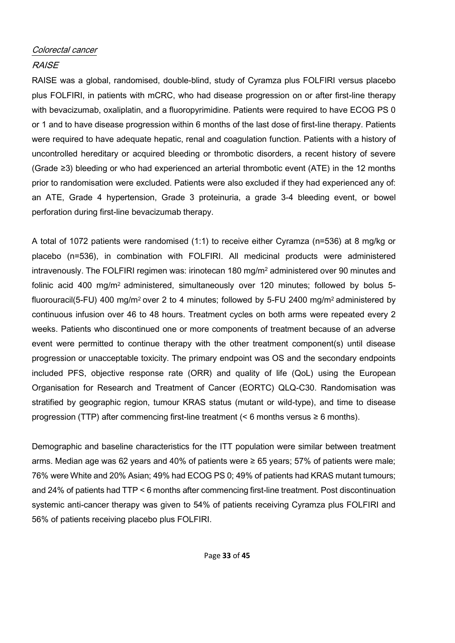## Colorectal cancer

## RAISE

RAISE was a global, randomised, double-blind, study of Cyramza plus FOLFIRI versus placebo plus FOLFIRI, in patients with mCRC, who had disease progression on or after first-line therapy with bevacizumab, oxaliplatin, and a fluoropyrimidine. Patients were required to have ECOG PS 0 or 1 and to have disease progression within 6 months of the last dose of first-line therapy. Patients were required to have adequate hepatic, renal and coagulation function. Patients with a history of uncontrolled hereditary or acquired bleeding or thrombotic disorders, a recent history of severe (Grade ≥3) bleeding or who had experienced an arterial thrombotic event (ATE) in the 12 months prior to randomisation were excluded. Patients were also excluded if they had experienced any of: an ATE, Grade 4 hypertension, Grade 3 proteinuria, a grade 3-4 bleeding event, or bowel perforation during first-line bevacizumab therapy.

A total of 1072 patients were randomised (1:1) to receive either Cyramza (n=536) at 8 mg/kg or placebo (n=536), in combination with FOLFIRI. All medicinal products were administered intravenously. The FOLFIRI regimen was: irinotecan 180 mg/m<sup>2</sup> administered over 90 minutes and folinic acid 400 mg/m<sup>2</sup> administered, simultaneously over 120 minutes; followed by bolus 5fluorouracil(5-FU) 400 mg/m<sup>2</sup> over 2 to 4 minutes; followed by 5-FU 2400 mg/m<sup>2</sup> administered by continuous infusion over 46 to 48 hours. Treatment cycles on both arms were repeated every 2 weeks. Patients who discontinued one or more components of treatment because of an adverse event were permitted to continue therapy with the other treatment component(s) until disease progression or unacceptable toxicity. The primary endpoint was OS and the secondary endpoints included PFS, objective response rate (ORR) and quality of life (QoL) using the European Organisation for Research and Treatment of Cancer (EORTC) QLQ-C30. Randomisation was stratified by geographic region, tumour KRAS status (mutant or wild-type), and time to disease progression (TTP) after commencing first-line treatment (< 6 months versus  $\geq 6$  months).

Demographic and baseline characteristics for the ITT population were similar between treatment arms. Median age was 62 years and 40% of patients were ≥ 65 years; 57% of patients were male; 76% were White and 20% Asian; 49% had ECOG PS 0; 49% of patients had KRAS mutant tumours; and 24% of patients had TTP < 6 months after commencing first-line treatment. Post discontinuation systemic anti-cancer therapy was given to 54% of patients receiving Cyramza plus FOLFIRI and 56% of patients receiving placebo plus FOLFIRI.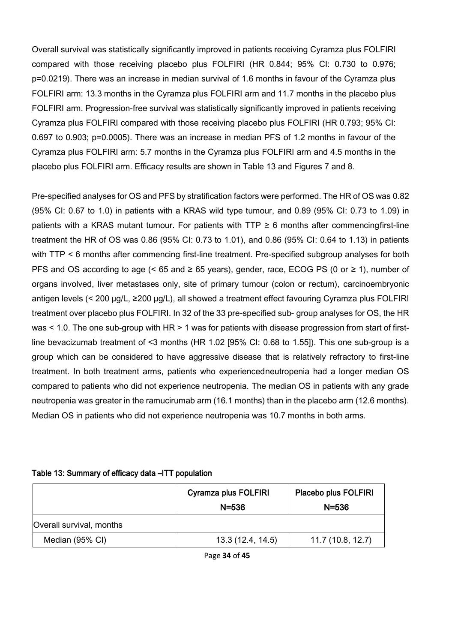Overall survival was statistically significantly improved in patients receiving Cyramza plus FOLFIRI compared with those receiving placebo plus FOLFIRI (HR 0.844; 95% CI: 0.730 to 0.976; p=0.0219). There was an increase in median survival of 1.6 months in favour of the Cyramza plus FOLFIRI arm: 13.3 months in the Cyramza plus FOLFIRI arm and 11.7 months in the placebo plus FOLFIRI arm. Progression-free survival was statistically significantly improved in patients receiving Cyramza plus FOLFIRI compared with those receiving placebo plus FOLFIRI (HR 0.793; 95% CI: 0.697 to 0.903; p=0.0005). There was an increase in median PFS of 1.2 months in favour of the Cyramza plus FOLFIRI arm: 5.7 months in the Cyramza plus FOLFIRI arm and 4.5 months in the placebo plus FOLFIRI arm. Efficacy results are shown in Table 13 and Figures 7 and 8.

Pre-specified analyses for OS and PFS by stratification factors were performed. The HR of OS was 0.82 (95% CI: 0.67 to 1.0) in patients with a KRAS wild type tumour, and 0.89 (95% CI: 0.73 to 1.09) in patients with a KRAS mutant tumour. For patients with  $TTP \ge 6$  months after commencingfirst-line treatment the HR of OS was 0.86 (95% CI: 0.73 to 1.01), and 0.86 (95% CI: 0.64 to 1.13) in patients with TTP < 6 months after commencing first-line treatment. Pre-specified subgroup analyses for both PFS and OS according to age (< 65 and ≥ 65 years), gender, race, ECOG PS (0 or ≥ 1), number of organs involved, liver metastases only, site of primary tumour (colon or rectum), carcinoembryonic antigen levels (< 200 µg/L, ≥200 µg/L), all showed a treatment effect favouring Cyramza plus FOLFIRI treatment over placebo plus FOLFIRI. In 32 of the 33 pre-specified sub- group analyses for OS, the HR was < 1.0. The one sub-group with HR > 1 was for patients with disease progression from start of firstline bevacizumab treatment of <3 months (HR 1.02 [95% CI: 0.68 to 1.55]). This one sub-group is a group which can be considered to have aggressive disease that is relatively refractory to first-line treatment. In both treatment arms, patients who experiencedneutropenia had a longer median OS compared to patients who did not experience neutropenia. The median OS in patients with any grade neutropenia was greater in the ramucirumab arm (16.1 months) than in the placebo arm (12.6 months). Median OS in patients who did not experience neutropenia was 10.7 months in both arms.

#### Table 13: Summary of efficacy data –ITT population

|                          | <b>Cyramza plus FOLFIRI</b> | Placebo plus FOLFIRI |
|--------------------------|-----------------------------|----------------------|
|                          | $N = 536$                   | $N = 536$            |
| Overall survival, months |                             |                      |
| Median (95% CI)          | 13.3(12.4, 14.5)            | 11.7(10.8, 12.7)     |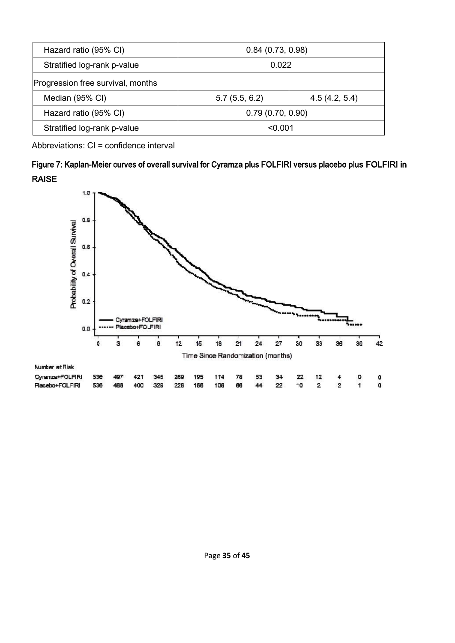| Hazard ratio (95% CI)                             | 0.84(0.73, 0.98) |  |  |
|---------------------------------------------------|------------------|--|--|
| Stratified log-rank p-value                       | 0.022            |  |  |
| Progression free survival, months                 |                  |  |  |
| Median (95% CI)<br>5.7(5.5, 6.2)<br>4.5(4.2, 5.4) |                  |  |  |
| Hazard ratio (95% CI)                             | 0.79(0.70, 0.90) |  |  |
| Stratified log-rank p-value                       | < 0.001          |  |  |

Abbreviations: CI = confidence interval

| Figure 7: Kaplan-Meier curves of overall survival for Cyramza plus FOLFIRI versus placebo plus FOLFIRI in |  |
|-----------------------------------------------------------------------------------------------------------|--|
| <b>RAISE</b>                                                                                              |  |

![](_page_34_Figure_3.jpeg)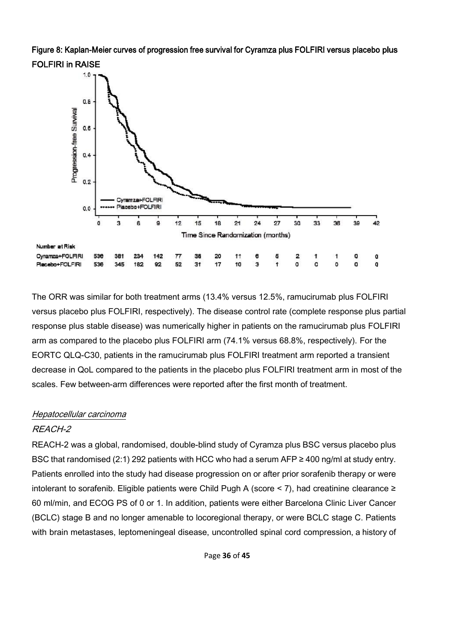Figure 8: Kaplan-Meier curves of progression free survival for Cyramza plus FOLFIRI versus placebo plus FOLFIRI in RAISE

![](_page_35_Figure_1.jpeg)

The ORR was similar for both treatment arms (13.4% versus 12.5%, ramucirumab plus FOLFIRI versus placebo plus FOLFIRI, respectively). The disease control rate (complete response plus partial response plus stable disease) was numerically higher in patients on the ramucirumab plus FOLFIRI arm as compared to the placebo plus FOLFIRI arm (74.1% versus 68.8%, respectively). For the EORTC QLQ-C30, patients in the ramucirumab plus FOLFIRI treatment arm reported a transient decrease in QoL compared to the patients in the placebo plus FOLFIRI treatment arm in most of the scales. Few between-arm differences were reported after the first month of treatment.

## Hepatocellular carcinoma

## REACH-2

REACH-2 was a global, randomised, double-blind study of Cyramza plus BSC versus placebo plus BSC that randomised (2:1) 292 patients with HCC who had a serum AFP ≥ 400 ng/ml at study entry. Patients enrolled into the study had disease progression on or after prior sorafenib therapy or were intolerant to sorafenib. Eligible patients were Child Pugh A (score < 7), had creatinine clearance ≥ 60 ml/min, and ECOG PS of 0 or 1. In addition, patients were either Barcelona Clinic Liver Cancer (BCLC) stage B and no longer amenable to locoregional therapy, or were BCLC stage C. Patients with brain metastases, leptomeningeal disease, uncontrolled spinal cord compression, a history of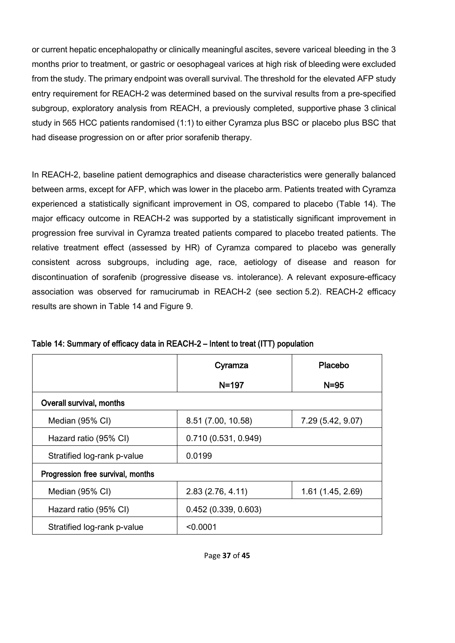or current hepatic encephalopathy or clinically meaningful ascites, severe variceal bleeding in the 3 months prior to treatment, or gastric or oesophageal varices at high risk of bleeding were excluded from the study. The primary endpoint was overall survival. The threshold for the elevated AFP study entry requirement for REACH-2 was determined based on the survival results from a pre-specified subgroup, exploratory analysis from REACH, a previously completed, supportive phase 3 clinical study in 565 HCC patients randomised (1:1) to either Cyramza plus BSC or placebo plus BSC that had disease progression on or after prior sorafenib therapy.

In REACH-2, baseline patient demographics and disease characteristics were generally balanced between arms, except for AFP, which was lower in the placebo arm. Patients treated with Cyramza experienced a statistically significant improvement in OS, compared to placebo (Table 14). The major efficacy outcome in REACH-2 was supported by a statistically significant improvement in progression free survival in Cyramza treated patients compared to placebo treated patients. The relative treatment effect (assessed by HR) of Cyramza compared to placebo was generally consistent across subgroups, including age, race, aetiology of disease and reason for discontinuation of sorafenib (progressive disease vs. intolerance). A relevant exposure-efficacy association was observed for ramucirumab in REACH-2 (see section 5.2). REACH-2 efficacy results are shown in Table 14 and Figure 9.

|                                   | Cyramza             | Placebo           |
|-----------------------------------|---------------------|-------------------|
|                                   | $N = 197$           | $N = 95$          |
| Overall survival, months          |                     |                   |
| Median (95% CI)                   | 8.51 (7.00, 10.58)  | 7.29 (5.42, 9.07) |
| Hazard ratio (95% CI)             | 0.710(0.531, 0.949) |                   |
| Stratified log-rank p-value       | 0.0199              |                   |
| Progression free survival, months |                     |                   |
| Median (95% CI)                   | 2.83(2.76, 4.11)    | 1.61(1.45, 2.69)  |
| Hazard ratio (95% CI)             | 0.452(0.339, 0.603) |                   |
| Stratified log-rank p-value       | < 0.0001            |                   |

### Table 14: Summary of efficacy data in REACH-2 – Intent to treat (ITT) population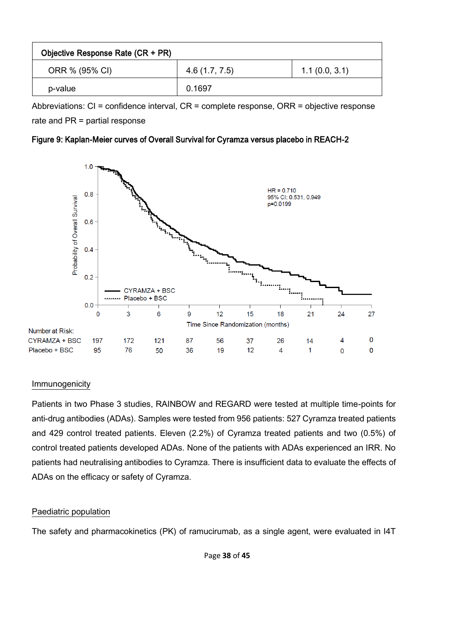| Objective Response Rate (CR + PR) |               |               |
|-----------------------------------|---------------|---------------|
| ORR % (95% CI)                    | 4.6(1.7, 7.5) | 1.1(0.0, 3.1) |
| p-value                           | 0.1697        |               |

Abbreviations: CI = confidence interval, CR = complete response, ORR = objective response rate and PR = partial response

## Figure 9: Kaplan-Meier curves of Overall Survival for Cyramza versus placebo in REACH-2

![](_page_37_Figure_3.jpeg)

#### Immunogenicity

Patients in two Phase 3 studies, RAINBOW and REGARD were tested at multiple time-points for anti-drug antibodies (ADAs). Samples were tested from 956 patients: 527 Cyramza treated patients and 429 control treated patients. Eleven (2.2%) of Cyramza treated patients and two (0.5%) of control treated patients developed ADAs. None of the patients with ADAs experienced an IRR. No patients had neutralising antibodies to Cyramza. There is insufficient data to evaluate the effects of ADAs on the efficacy or safety of Cyramza.

## Paediatric population

The safety and pharmacokinetics (PK) of ramucirumab, as a single agent, were evaluated in I4T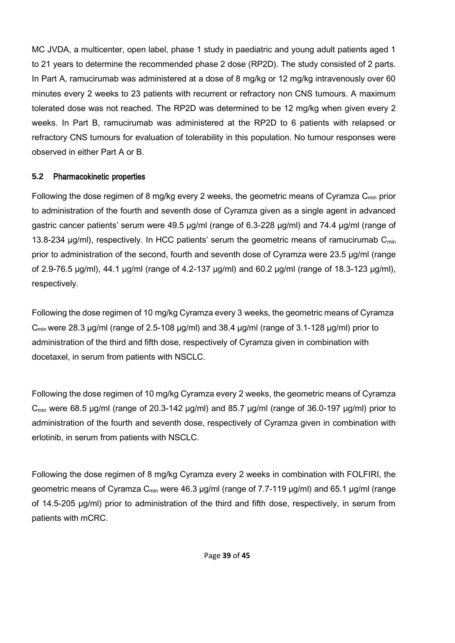MC JVDA, a multicenter, open label, phase 1 study in paediatric and young adult patients aged 1 to 21 years to determine the recommended phase 2 dose (RP2D). The study consisted of 2 parts. In Part A, ramucirumab was administered at a dose of 8 mg/kg or 12 mg/kg intravenously over 60 minutes every 2 weeks to 23 patients with recurrent or refractory non CNS tumours. A maximum tolerated dose was not reached. The RP2D was determined to be 12 mg/kg when given every 2 weeks. In Part B, ramucirumab was administered at the RP2D to 6 patients with relapsed or refractory CNS tumours for evaluation of tolerability in this population. No tumour responses were observed in either Part A or B.

### **5.2** Pharmacokinetic properties

Following the dose regimen of 8 mg/kg every 2 weeks, the geometric means of Cyramza  $C_{min}$  prior to administration of the fourth and seventh dose of Cyramza given as a single agent in advanced gastric cancer patients' serum were 49.5 µg/ml (range of 6.3-228 µg/ml) and 74.4 µg/ml (range of 13.8-234  $\mu$ g/ml), respectively. In HCC patients' serum the geometric means of ramucirumab C<sub>min</sub> prior to administration of the second, fourth and seventh dose of Cyramza were 23.5 μg/ml (range of 2.9-76.5 μg/ml), 44.1 μg/ml (range of 4.2-137 μg/ml) and 60.2 μg/ml (range of 18.3-123 μg/ml), respectively.

Following the dose regimen of 10 mg/kg Cyramza every 3 weeks, the geometric means of Cyramza  $C<sub>min</sub>$  were 28.3 µg/ml (range of 2.5-108 µg/ml) and 38.4 µg/ml (range of 3.1-128 µg/ml) prior to administration of the third and fifth dose, respectively of Cyramza given in combination with docetaxel, in serum from patients with NSCLC.

Following the dose regimen of 10 mg/kg Cyramza every 2 weeks, the geometric means of Cyramza  $C_{\text{min}}$  were 68.5 μg/ml (range of 20.3-142 μg/ml) and 85.7 μg/ml (range of 36.0-197 μg/ml) prior to administration of the fourth and seventh dose, respectively of Cyramza given in combination with erlotinib, in serum from patients with NSCLC.

Following the dose regimen of 8 mg/kg Cyramza every 2 weeks in combination with FOLFIRI, the geometric means of Cyramza C<sub>min</sub> were 46.3 µg/ml (range of 7.7-119 µg/ml) and 65.1 µg/ml (range of 14.5-205 µg/ml) prior to administration of the third and fifth dose, respectively, in serum from patients with mCRC.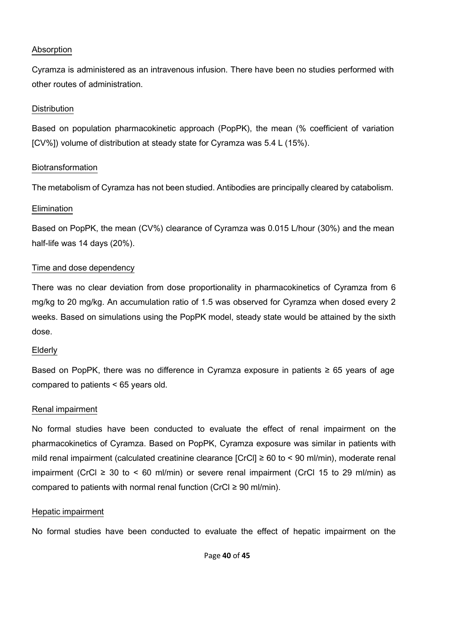## Absorption

Cyramza is administered as an intravenous infusion. There have been no studies performed with other routes of administration.

## **Distribution**

Based on population pharmacokinetic approach (PopPK), the mean (% coefficient of variation [CV%]) volume of distribution at steady state for Cyramza was 5.4 L (15%).

## Biotransformation

The metabolism of Cyramza has not been studied. Antibodies are principally cleared by catabolism.

## **Elimination**

Based on PopPK, the mean (CV%) clearance of Cyramza was 0.015 L/hour (30%) and the mean half-life was 14 days (20%).

## Time and dose dependency

There was no clear deviation from dose proportionality in pharmacokinetics of Cyramza from 6 mg/kg to 20 mg/kg. An accumulation ratio of 1.5 was observed for Cyramza when dosed every 2 weeks. Based on simulations using the PopPK model, steady state would be attained by the sixth dose.

## **Elderly**

Based on PopPK, there was no difference in Cyramza exposure in patients ≥ 65 years of age compared to patients < 65 years old.

## Renal impairment

No formal studies have been conducted to evaluate the effect of renal impairment on the pharmacokinetics of Cyramza. Based on PopPK, Cyramza exposure was similar in patients with mild renal impairment (calculated creatinine clearance [CrCl] ≥ 60 to < 90 ml/min), moderate renal impairment (CrCl  $\geq$  30 to < 60 ml/min) or severe renal impairment (CrCl 15 to 29 ml/min) as compared to patients with normal renal function (CrCl  $\geq$  90 ml/min).

## Hepatic impairment

No formal studies have been conducted to evaluate the effect of hepatic impairment on the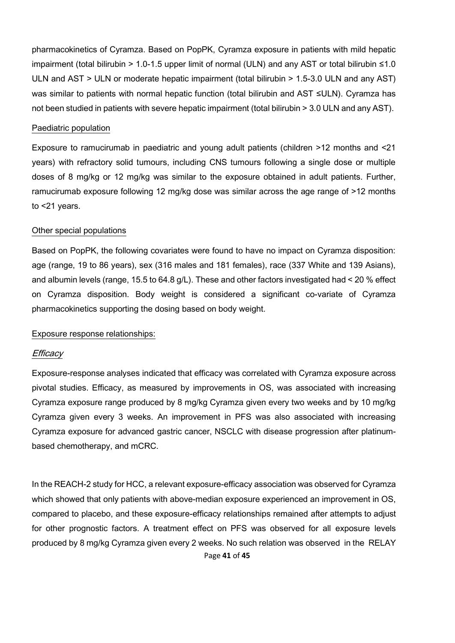pharmacokinetics of Cyramza. Based on PopPK, Cyramza exposure in patients with mild hepatic impairment (total bilirubin > 1.0-1.5 upper limit of normal (ULN) and any AST or total bilirubin ≤1.0 ULN and AST > ULN or moderate hepatic impairment (total bilirubin > 1.5-3.0 ULN and any AST) was similar to patients with normal hepatic function (total bilirubin and AST ≤ULN). Cyramza has not been studied in patients with severe hepatic impairment (total bilirubin > 3.0 ULN and any AST).

#### Paediatric population

Exposure to ramucirumab in paediatric and young adult patients (children >12 months and <21 years) with refractory solid tumours, including CNS tumours following a single dose or multiple doses of 8 mg/kg or 12 mg/kg was similar to the exposure obtained in adult patients. Further, ramucirumab exposure following 12 mg/kg dose was similar across the age range of >12 months to <21 years.

#### Other special populations

Based on PopPK, the following covariates were found to have no impact on Cyramza disposition: age (range, 19 to 86 years), sex (316 males and 181 females), race (337 White and 139 Asians), and albumin levels (range, 15.5 to 64.8 g/L). These and other factors investigated had < 20 % effect on Cyramza disposition. Body weight is considered a significant co-variate of Cyramza pharmacokinetics supporting the dosing based on body weight.

#### Exposure response relationships:

#### **Efficacy**

Exposure-response analyses indicated that efficacy was correlated with Cyramza exposure across pivotal studies. Efficacy, as measured by improvements in OS, was associated with increasing Cyramza exposure range produced by 8 mg/kg Cyramza given every two weeks and by 10 mg/kg Cyramza given every 3 weeks. An improvement in PFS was also associated with increasing Cyramza exposure for advanced gastric cancer, NSCLC with disease progression after platinumbased chemotherapy, and mCRC.

Page **41** of **45** In the REACH-2 study for HCC, a relevant exposure-efficacy association was observed for Cyramza which showed that only patients with above-median exposure experienced an improvement in OS, compared to placebo, and these exposure-efficacy relationships remained after attempts to adjust for other prognostic factors. A treatment effect on PFS was observed for all exposure levels produced by 8 mg/kg Cyramza given every 2 weeks. No such relation was observed in the RELAY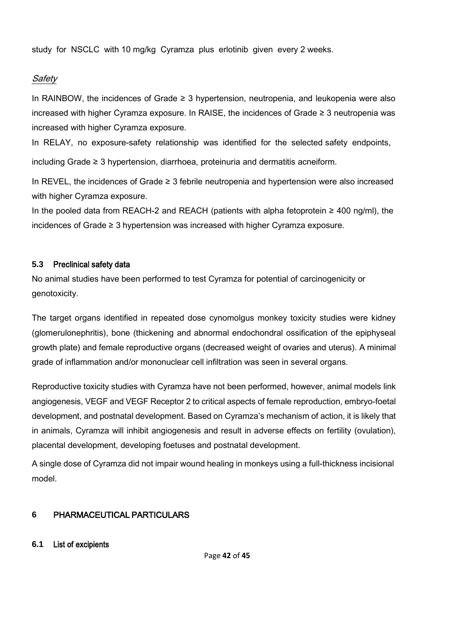study for NSCLC with 10 mg/kg Cyramza plus erlotinib given every 2 weeks.

## Safety

In RAINBOW, the incidences of Grade ≥ 3 hypertension, neutropenia, and leukopenia were also increased with higher Cyramza exposure. In RAISE, the incidences of Grade ≥ 3 neutropenia was increased with higher Cyramza exposure.

In RELAY, no exposure-safety relationship was identified for the selected safety endpoints,

including Grade ≥ 3 hypertension, diarrhoea, proteinuria and dermatitis acneiform.

In REVEL, the incidences of Grade ≥ 3 febrile neutropenia and hypertension were also increased with higher Cyramza exposure.

In the pooled data from REACH-2 and REACH (patients with alpha fetoprotein ≥ 400 ng/ml), the incidences of Grade ≥ 3 hypertension was increased with higher Cyramza exposure.

## **5.3** Preclinical safety data

No animal studies have been performed to test Cyramza for potential of carcinogenicity or genotoxicity.

The target organs identified in repeated dose cynomolgus monkey toxicity studies were kidney (glomerulonephritis), bone (thickening and abnormal endochondral ossification of the epiphyseal growth plate) and female reproductive organs (decreased weight of ovaries and uterus). A minimal grade of inflammation and/or mononuclear cell infiltration was seen in several organs.

Reproductive toxicity studies with Cyramza have not been performed, however, animal models link angiogenesis, VEGF and VEGF Receptor 2 to critical aspects of female reproduction, embryo-foetal development, and postnatal development. Based on Cyramza's mechanism of action, it is likely that in animals, Cyramza will inhibit angiogenesis and result in adverse effects on fertility (ovulation), placental development, developing foetuses and postnatal development.

A single dose of Cyramza did not impair wound healing in monkeys using a full-thickness incisional model.

## **6** PHARMACEUTICAL PARTICULARS

## **6.1** List of excipients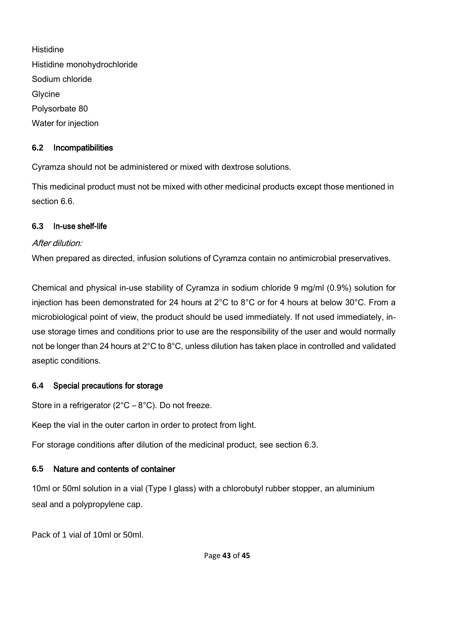**Histidine** Histidine monohydrochloride Sodium chloride **Glycine** Polysorbate 80 Water for injection

## **6.2** Incompatibilities

Cyramza should not be administered or mixed with dextrose solutions.

This medicinal product must not be mixed with other medicinal products except those mentioned in section 6.6.

## **6.3** In-use shelf-life

## After dilution<sup>.</sup>

When prepared as directed, infusion solutions of Cyramza contain no antimicrobial preservatives.

Chemical and physical in-use stability of Cyramza in sodium chloride 9 mg/ml (0.9%) solution for injection has been demonstrated for 24 hours at 2°C to 8°C or for 4 hours at below 30°C. From a microbiological point of view, the product should be used immediately. If not used immediately, inuse storage times and conditions prior to use are the responsibility of the user and would normally not be longer than 24 hours at 2°C to 8°C, unless dilution has taken place in controlled and validated aseptic conditions.

## **6.4** Special precautions for storage

Store in a refrigerator  $(2^{\circ}C - 8^{\circ}C)$ . Do not freeze.

Keep the vial in the outer carton in order to protect from light.

For storage conditions after dilution of the medicinal product, see section 6.3.

## **6.5** Nature and contents of container

10ml or 50ml solution in a vial (Type I glass) with a chlorobutyl rubber stopper, an aluminium seal and a polypropylene cap.

Pack of 1 vial of 10ml or 50ml.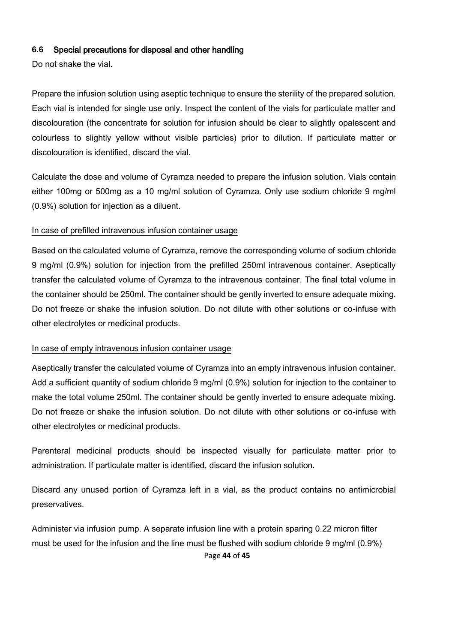#### **6.6** Special precautions for disposal and other handling

Do not shake the vial.

Prepare the infusion solution using aseptic technique to ensure the sterility of the prepared solution. Each vial is intended for single use only. Inspect the content of the vials for particulate matter and discolouration (the concentrate for solution for infusion should be clear to slightly opalescent and colourless to slightly yellow without visible particles) prior to dilution. If particulate matter or discolouration is identified, discard the vial.

Calculate the dose and volume of Cyramza needed to prepare the infusion solution. Vials contain either 100mg or 500mg as a 10 mg/ml solution of Cyramza. Only use sodium chloride 9 mg/ml (0.9%) solution for injection as a diluent.

### In case of prefilled intravenous infusion container usage

Based on the calculated volume of Cyramza, remove the corresponding volume of sodium chloride 9 mg/ml (0.9%) solution for injection from the prefilled 250ml intravenous container. Aseptically transfer the calculated volume of Cyramza to the intravenous container. The final total volume in the container should be 250ml. The container should be gently inverted to ensure adequate mixing. Do not freeze or shake the infusion solution. Do not dilute with other solutions or co-infuse with other electrolytes or medicinal products.

#### In case of empty intravenous infusion container usage

Aseptically transfer the calculated volume of Cyramza into an empty intravenous infusion container. Add a sufficient quantity of sodium chloride 9 mg/ml (0.9%) solution for injection to the container to make the total volume 250ml. The container should be gently inverted to ensure adequate mixing. Do not freeze or shake the infusion solution. Do not dilute with other solutions or co-infuse with other electrolytes or medicinal products.

Parenteral medicinal products should be inspected visually for particulate matter prior to administration. If particulate matter is identified, discard the infusion solution.

Discard any unused portion of Cyramza left in a vial, as the product contains no antimicrobial preservatives.

Page **44** of **45** Administer via infusion pump. A separate infusion line with a protein sparing 0.22 micron filter must be used for the infusion and the line must be flushed with sodium chloride 9 mg/ml (0.9%)